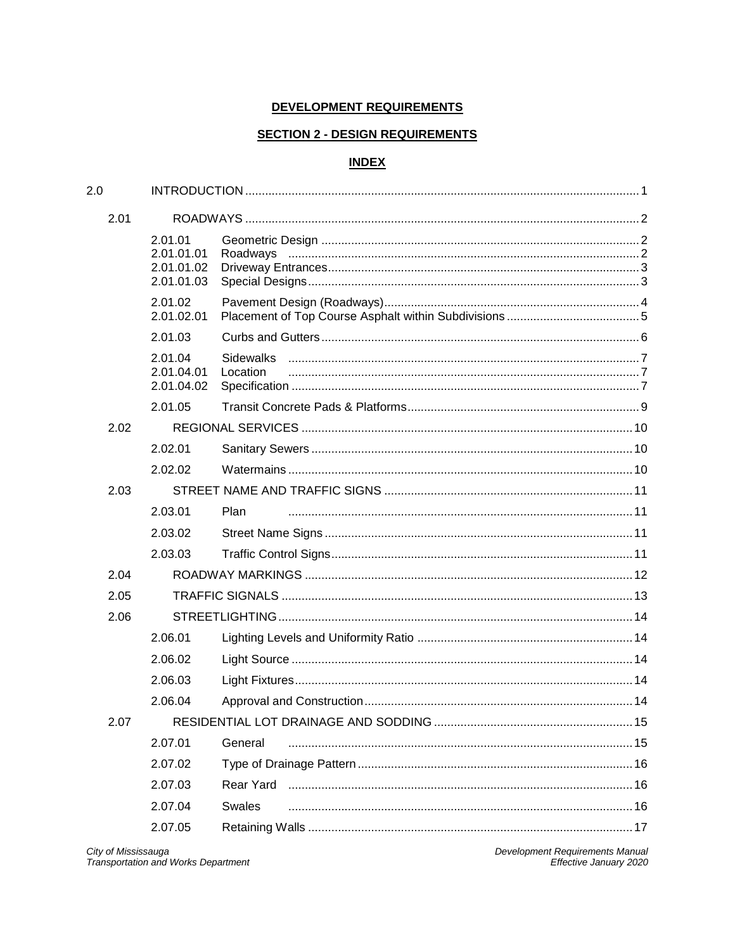# DEVELOPMENT REQUIREMENTS

# **SECTION 2 - DESIGN REQUIREMENTS**

# **INDEX**

| 2.0  |                                                   |                              |  |
|------|---------------------------------------------------|------------------------------|--|
| 2.01 |                                                   |                              |  |
|      | 2.01.01<br>2.01.01.01<br>2.01.01.02<br>2.01.01.03 |                              |  |
|      | 2.01.02<br>2.01.02.01                             |                              |  |
|      | 2.01.03                                           |                              |  |
|      | 2.01.04<br>2.01.04.01<br>2.01.04.02               | <b>Sidewalks</b><br>Location |  |
|      | 2.01.05                                           |                              |  |
| 2.02 |                                                   |                              |  |
|      | 2.02.01                                           |                              |  |
|      | 2.02.02                                           |                              |  |
| 2.03 |                                                   |                              |  |
|      | 2.03.01                                           | Plan                         |  |
|      | 2.03.02                                           |                              |  |
|      | 2.03.03                                           |                              |  |
| 2.04 |                                                   |                              |  |
| 2.05 |                                                   |                              |  |
| 2.06 |                                                   |                              |  |
|      | 2.06.01                                           |                              |  |
|      | 2.06.02                                           |                              |  |
|      | 2.06.03                                           |                              |  |
|      | 2.06.04                                           |                              |  |
| 2.07 |                                                   |                              |  |
|      | 2.07.01                                           | General                      |  |
|      | 2.07.02                                           |                              |  |
|      | 2.07.03                                           |                              |  |
|      | 2.07.04                                           | <b>Swales</b>                |  |
|      | 2.07.05                                           |                              |  |

Development Requirements Manual<br>Effective January 2020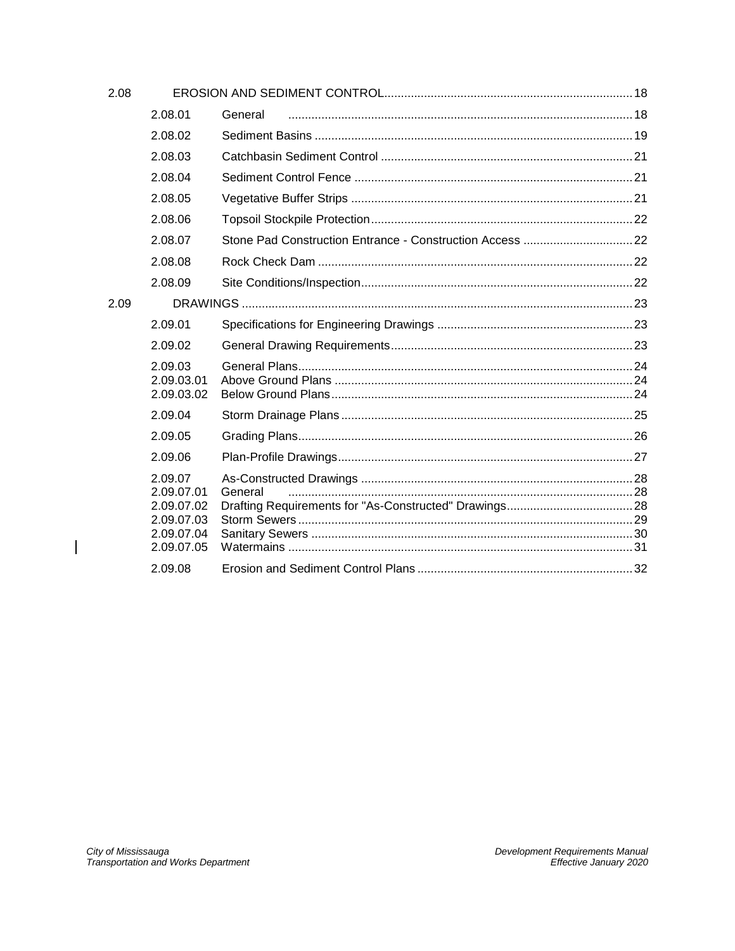| 2.08 |                                                                               |                                                          |  |
|------|-------------------------------------------------------------------------------|----------------------------------------------------------|--|
|      | 2.08.01                                                                       | General                                                  |  |
|      | 2.08.02                                                                       |                                                          |  |
|      | 2.08.03                                                                       |                                                          |  |
|      | 2.08.04                                                                       |                                                          |  |
|      | 2.08.05                                                                       |                                                          |  |
|      | 2.08.06                                                                       |                                                          |  |
|      | 2.08.07                                                                       | Stone Pad Construction Entrance - Construction Access 22 |  |
|      | 2.08.08                                                                       |                                                          |  |
|      | 2.08.09                                                                       |                                                          |  |
| 2.09 |                                                                               |                                                          |  |
|      | 2.09.01                                                                       |                                                          |  |
|      | 2.09.02                                                                       |                                                          |  |
|      | 2.09.03<br>2.09.03.01                                                         |                                                          |  |
|      | 2.09.03.02                                                                    |                                                          |  |
|      | 2.09.04                                                                       |                                                          |  |
|      | 2.09.05                                                                       |                                                          |  |
|      | 2.09.06                                                                       |                                                          |  |
|      | 2.09.07<br>2.09.07.01<br>2.09.07.02<br>2.09.07.03<br>2.09.07.04<br>2.09.07.05 | General                                                  |  |
|      | 2.09.08                                                                       |                                                          |  |

 $\overline{\phantom{a}}$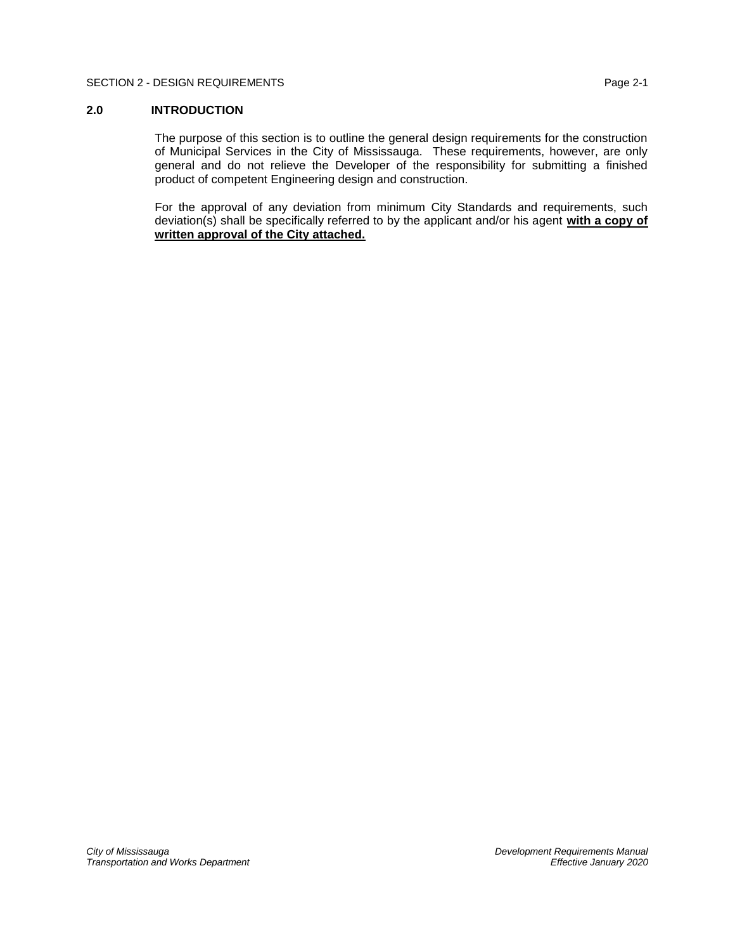# <span id="page-2-0"></span>**2.0 INTRODUCTION**

The purpose of this section is to outline the general design requirements for the construction of Municipal Services in the City of Mississauga. These requirements, however, are only general and do not relieve the Developer of the responsibility for submitting a finished product of competent Engineering design and construction.

For the approval of any deviation from minimum City Standards and requirements, such deviation(s) shall be specifically referred to by the applicant and/or his agent **with a copy of written approval of the City attached.**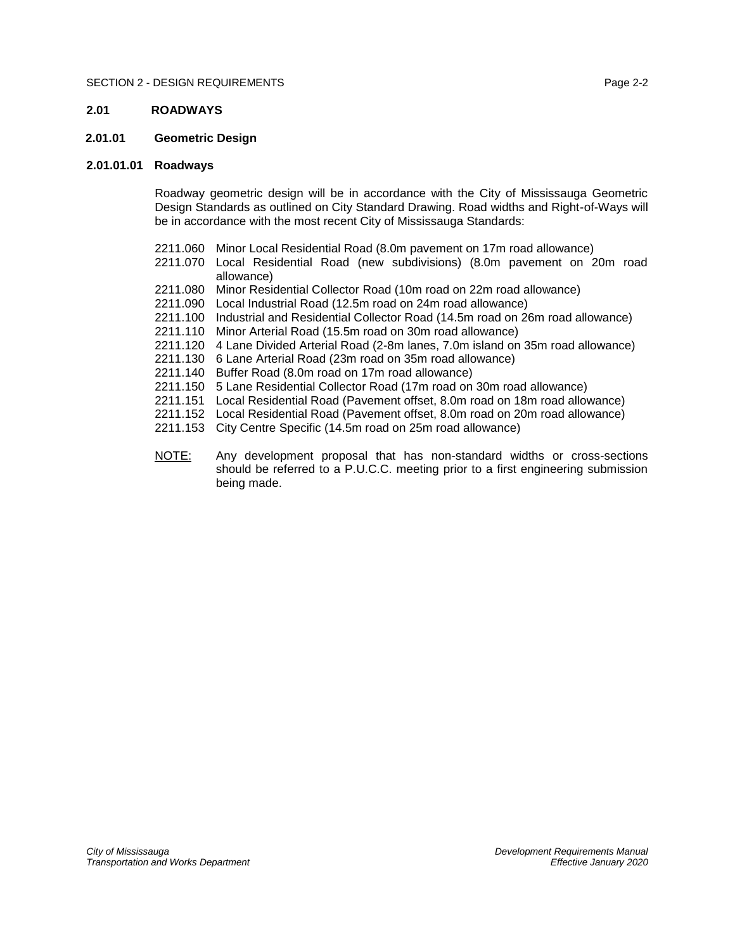# <span id="page-3-0"></span>**2.01 ROADWAYS**

# <span id="page-3-1"></span>**2.01.01 Geometric Design**

# **2.01.01.01 Roadways**

<span id="page-3-2"></span>Roadway geometric design will be in accordance with the City of Mississauga Geometric Design Standards as outlined on City Standard Drawing. Road widths and Right-of-Ways will be in accordance with the most recent City of Mississauga Standards:

- 2211.060 Minor Local Residential Road (8.0m pavement on 17m road allowance)
- 2211.070 Local Residential Road (new subdivisions) (8.0m pavement on 20m road allowance)
- 2211.080 Minor Residential Collector Road (10m road on 22m road allowance)
- 2211.090 Local Industrial Road (12.5m road on 24m road allowance)
- 2211.100 Industrial and Residential Collector Road (14.5m road on 26m road allowance)
- 2211.110 Minor Arterial Road (15.5m road on 30m road allowance)
- 2211.120 4 Lane Divided Arterial Road (2-8m lanes, 7.0m island on 35m road allowance)
- 2211.130 6 Lane Arterial Road (23m road on 35m road allowance)
- 2211.140 Buffer Road (8.0m road on 17m road allowance)
- 2211.150 5 Lane Residential Collector Road (17m road on 30m road allowance)
- 2211.151 Local Residential Road (Pavement offset, 8.0m road on 18m road allowance)
- 2211.152 Local Residential Road (Pavement offset, 8.0m road on 20m road allowance)
- 2211.153 City Centre Specific (14.5m road on 25m road allowance)
- NOTE: Any development proposal that has non-standard widths or cross-sections should be referred to a P.U.C.C. meeting prior to a first engineering submission being made.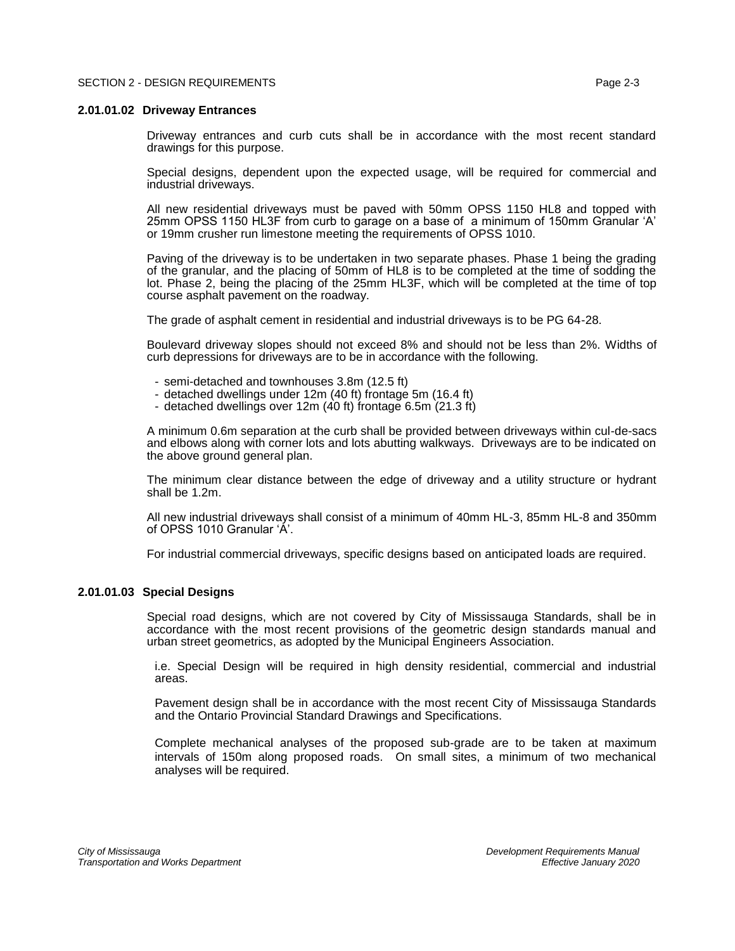#### <span id="page-4-0"></span>**2.01.01.02 Driveway Entrances**

Driveway entrances and curb cuts shall be in accordance with the most recent standard drawings for this purpose.

Special designs, dependent upon the expected usage, will be required for commercial and industrial driveways.

All new residential driveways must be paved with 50mm OPSS 1150 HL8 and topped with 25mm OPSS 1150 HL3F from curb to garage on a base of a minimum of 150mm Granular 'A' or 19mm crusher run limestone meeting the requirements of OPSS 1010.

Paving of the driveway is to be undertaken in two separate phases. Phase 1 being the grading of the granular, and the placing of 50mm of HL8 is to be completed at the time of sodding the lot. Phase 2, being the placing of the 25mm HL3F, which will be completed at the time of top course asphalt pavement on the roadway.

The grade of asphalt cement in residential and industrial driveways is to be PG 64-28.

Boulevard driveway slopes should not exceed 8% and should not be less than 2%. Widths of curb depressions for driveways are to be in accordance with the following.

- semi-detached and townhouses 3.8m (12.5 ft)
- detached dwellings under 12m (40 ft) frontage 5m (16.4 ft)
- detached dwellings over 12m (40 ft) frontage 6.5m (21.3 ft)

A minimum 0.6m separation at the curb shall be provided between driveways within cul-de-sacs and elbows along with corner lots and lots abutting walkways. Driveways are to be indicated on the above ground general plan.

The minimum clear distance between the edge of driveway and a utility structure or hydrant shall be 1.2m.

All new industrial driveways shall consist of a minimum of 40mm HL-3, 85mm HL-8 and 350mm of OPSS 1010 Granular 'A'.

For industrial commercial driveways, specific designs based on anticipated loads are required.

# <span id="page-4-1"></span>**2.01.01.03 Special Designs**

Special road designs, which are not covered by City of Mississauga Standards, shall be in accordance with the most recent provisions of the geometric design standards manual and urban street geometrics, as adopted by the Municipal Engineers Association.

i.e. Special Design will be required in high density residential, commercial and industrial areas.

Pavement design shall be in accordance with the most recent City of Mississauga Standards and the Ontario Provincial Standard Drawings and Specifications.

Complete mechanical analyses of the proposed sub-grade are to be taken at maximum intervals of 150m along proposed roads. On small sites, a minimum of two mechanical analyses will be required.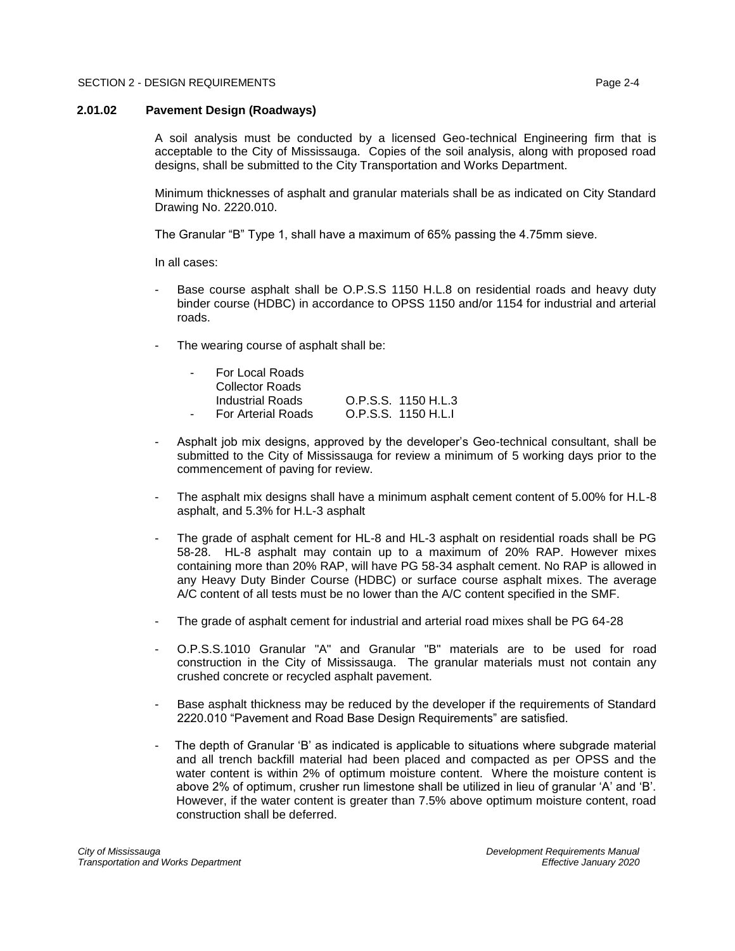### <span id="page-5-0"></span>**2.01.02 Pavement Design (Roadways)**

A soil analysis must be conducted by a licensed Geo-technical Engineering firm that is acceptable to the City of Mississauga. Copies of the soil analysis, along with proposed road designs, shall be submitted to the City Transportation and Works Department.

Minimum thicknesses of asphalt and granular materials shall be as indicated on City Standard Drawing No. 2220.010.

The Granular "B" Type 1, shall have a maximum of 65% passing the 4.75mm sieve.

In all cases:

- Base course asphalt shall be O.P.S.S 1150 H.L.8 on residential roads and heavy duty binder course (HDBC) in accordance to OPSS 1150 and/or 1154 for industrial and arterial roads.
- The wearing course of asphalt shall be:

| $\sim$ 10 $\,$ | For Local Roads           |                     |
|----------------|---------------------------|---------------------|
|                | <b>Collector Roads</b>    |                     |
|                | Industrial Roads          | O.P.S.S. 1150 H.L.3 |
| $\sim$ 10 $\,$ | <b>For Arterial Roads</b> | O.P.S.S. 1150 H.L.I |

- Asphalt job mix designs, approved by the developer's Geo-technical consultant, shall be submitted to the City of Mississauga for review a minimum of 5 working days prior to the commencement of paving for review.
- The asphalt mix designs shall have a minimum asphalt cement content of 5.00% for H.L-8 asphalt, and 5.3% for H.L-3 asphalt
- The grade of asphalt cement for HL-8 and HL-3 asphalt on residential roads shall be PG 58-28. HL-8 asphalt may contain up to a maximum of 20% RAP. However mixes containing more than 20% RAP, will have PG 58-34 asphalt cement. No RAP is allowed in any Heavy Duty Binder Course (HDBC) or surface course asphalt mixes. The average A/C content of all tests must be no lower than the A/C content specified in the SMF.
- The grade of asphalt cement for industrial and arterial road mixes shall be PG 64-28
- O.P.S.S.1010 Granular "A" and Granular "B" materials are to be used for road construction in the City of Mississauga. The granular materials must not contain any crushed concrete or recycled asphalt pavement.
- Base asphalt thickness may be reduced by the developer if the requirements of Standard 2220.010 "Pavement and Road Base Design Requirements" are satisfied.
- The depth of Granular 'B' as indicated is applicable to situations where subgrade material and all trench backfill material had been placed and compacted as per OPSS and the water content is within 2% of optimum moisture content. Where the moisture content is above 2% of optimum, crusher run limestone shall be utilized in lieu of granular 'A' and 'B'. However, if the water content is greater than 7.5% above optimum moisture content, road construction shall be deferred.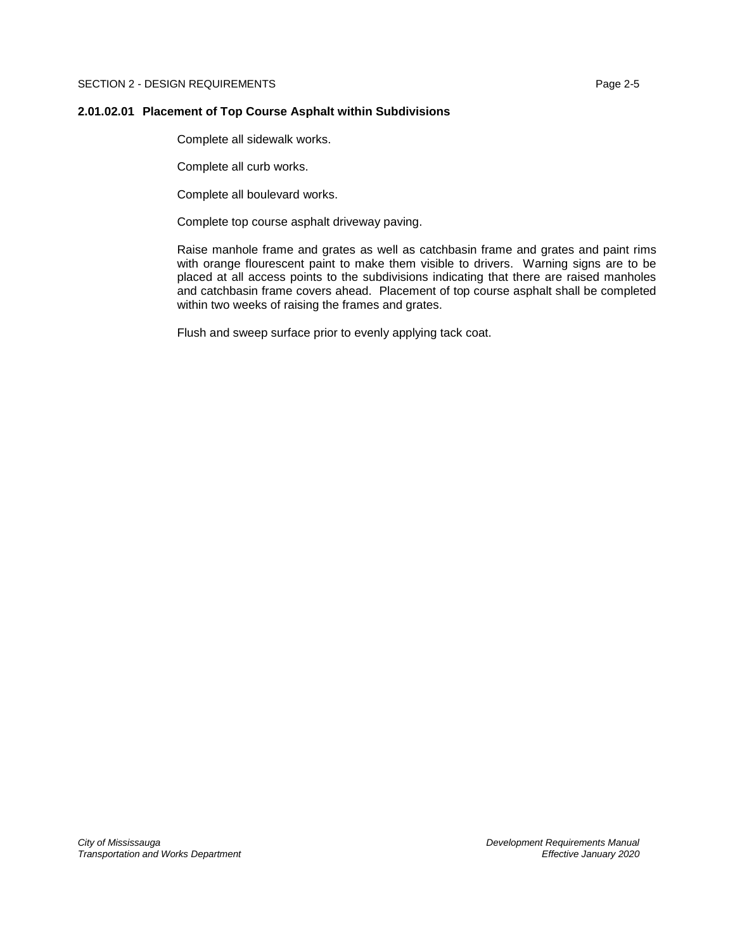# <span id="page-6-0"></span>**2.01.02.01 Placement of Top Course Asphalt within Subdivisions**

Complete all sidewalk works.

Complete all curb works.

Complete all boulevard works.

Complete top course asphalt driveway paving.

Raise manhole frame and grates as well as catchbasin frame and grates and paint rims with orange flourescent paint to make them visible to drivers. Warning signs are to be placed at all access points to the subdivisions indicating that there are raised manholes and catchbasin frame covers ahead. Placement of top course asphalt shall be completed within two weeks of raising the frames and grates.

Flush and sweep surface prior to evenly applying tack coat.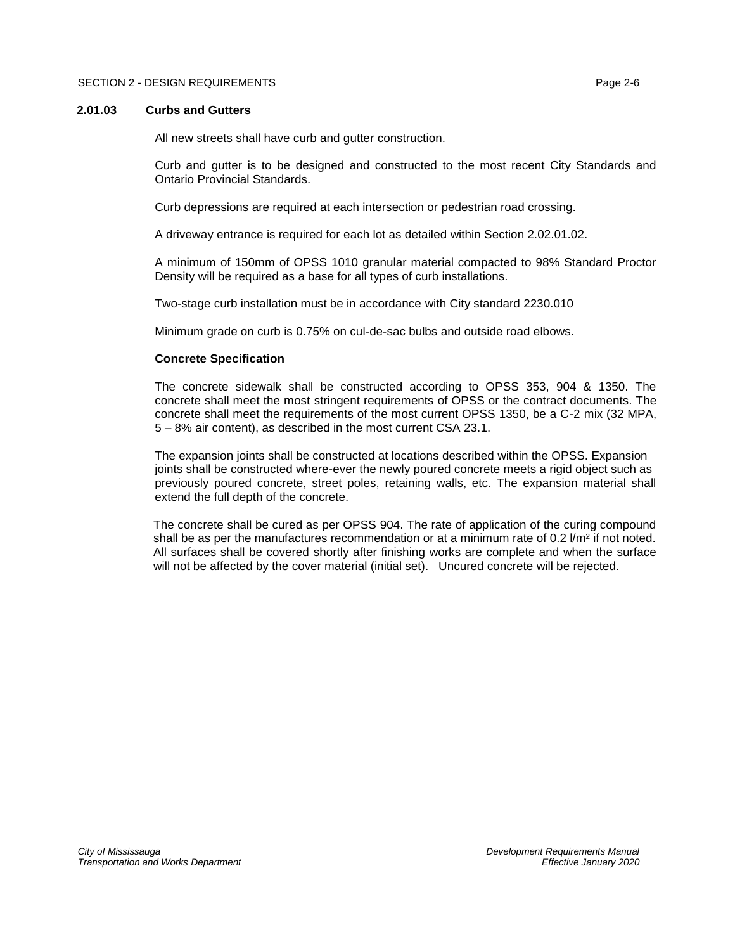## <span id="page-7-0"></span>**2.01.03 Curbs and Gutters**

All new streets shall have curb and gutter construction.

Curb and gutter is to be designed and constructed to the most recent City Standards and Ontario Provincial Standards.

Curb depressions are required at each intersection or pedestrian road crossing.

A driveway entrance is required for each lot as detailed within Section 2.02.01.02.

A minimum of 150mm of OPSS 1010 granular material compacted to 98% Standard Proctor Density will be required as a base for all types of curb installations.

Two-stage curb installation must be in accordance with City standard 2230.010

Minimum grade on curb is 0.75% on cul-de-sac bulbs and outside road elbows.

#### **Concrete Specification**

The concrete sidewalk shall be constructed according to OPSS 353, 904 & 1350. The concrete shall meet the most stringent requirements of OPSS or the contract documents. The concrete shall meet the requirements of the most current OPSS 1350, be a C-2 mix (32 MPA, 5 – 8% air content), as described in the most current CSA 23.1.

The expansion joints shall be constructed at locations described within the OPSS. Expansion joints shall be constructed where-ever the newly poured concrete meets a rigid object such as previously poured concrete, street poles, retaining walls, etc. The expansion material shall extend the full depth of the concrete.

The concrete shall be cured as per OPSS 904. The rate of application of the curing compound shall be as per the manufactures recommendation or at a minimum rate of  $0.2$   $\rm /m^2$  if not noted. All surfaces shall be covered shortly after finishing works are complete and when the surface will not be affected by the cover material (initial set). Uncured concrete will be rejected.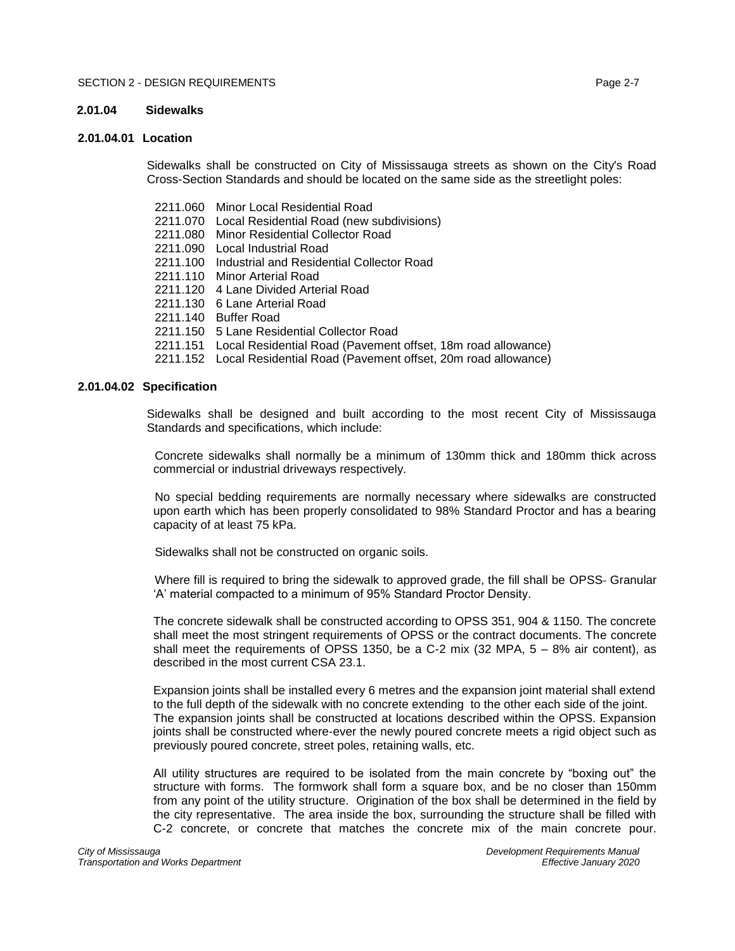## <span id="page-8-0"></span>**2.01.04 Sidewalks**

# <span id="page-8-1"></span>**2.01.04.01 Location**

Sidewalks shall be constructed on City of Mississauga streets as shown on the City's Road Cross-Section Standards and should be located on the same side as the streetlight poles:

- 2211.060 Minor Local Residential Road
- 2211.070 Local Residential Road (new subdivisions)
- 2211.080 Minor Residential Collector Road
- 2211.090 Local Industrial Road
- 2211.100 Industrial and Residential Collector Road
- 2211.110 Minor Arterial Road
- 2211.120 4 Lane Divided Arterial Road
- 2211.130 6 Lane Arterial Road
- 2211.140 Buffer Road
- 2211.150 5 Lane Residential Collector Road
- 2211.151 Local Residential Road (Pavement offset, 18m road allowance)
- 2211.152 Local Residential Road (Pavement offset, 20m road allowance)

#### <span id="page-8-2"></span>**2.01.04.02 Specification**

Sidewalks shall be designed and built according to the most recent City of Mississauga Standards and specifications, which include:

Concrete sidewalks shall normally be a minimum of 130mm thick and 180mm thick across commercial or industrial driveways respectively.

No special bedding requirements are normally necessary where sidewalks are constructed upon earth which has been properly consolidated to 98% Standard Proctor and has a bearing capacity of at least 75 kPa.

Sidewalks shall not be constructed on organic soils.

Where fill is required to bring the sidewalk to approved grade, the fill shall be OPSS- Granular 'A' material compacted to a minimum of 95% Standard Proctor Density.

The concrete sidewalk shall be constructed according to OPSS 351, 904 & 1150. The concrete shall meet the most stringent requirements of OPSS or the contract documents. The concrete shall meet the requirements of OPSS 1350, be a C-2 mix  $(32 \text{ MPA}, 5 - 8\% \text{ air content})$ , as described in the most current CSA 23.1.

Expansion joints shall be installed every 6 metres and the expansion joint material shall extend to the full depth of the sidewalk with no concrete extending to the other each side of the joint. The expansion joints shall be constructed at locations described within the OPSS. Expansion joints shall be constructed where-ever the newly poured concrete meets a rigid object such as previously poured concrete, street poles, retaining walls, etc.

All utility structures are required to be isolated from the main concrete by "boxing out" the structure with forms. The formwork shall form a square box, and be no closer than 150mm from any point of the utility structure. Origination of the box shall be determined in the field by the city representative. The area inside the box, surrounding the structure shall be filled with C-2 concrete, or concrete that matches the concrete mix of the main concrete pour.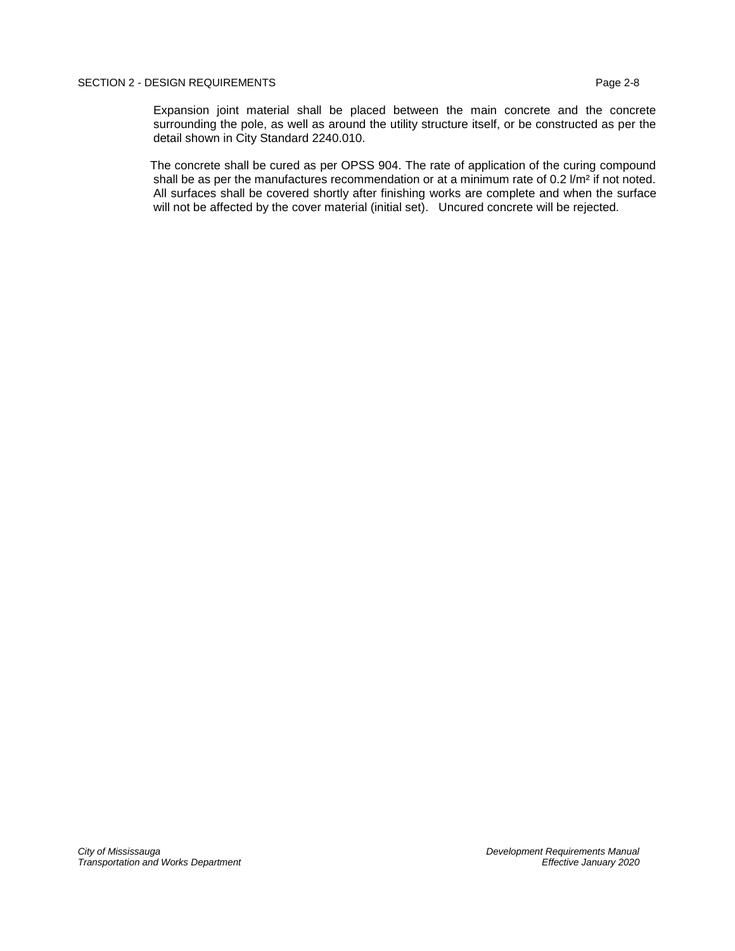Expansion joint material shall be placed between the main concrete and the concrete surrounding the pole, as well as around the utility structure itself, or be constructed as per the detail shown in City Standard 2240.010.

The concrete shall be cured as per OPSS 904. The rate of application of the curing compound shall be as per the manufactures recommendation or at a minimum rate of  $0.2$   $\text{/m²}$  if not noted. All surfaces shall be covered shortly after finishing works are complete and when the surface will not be affected by the cover material (initial set). Uncured concrete will be rejected.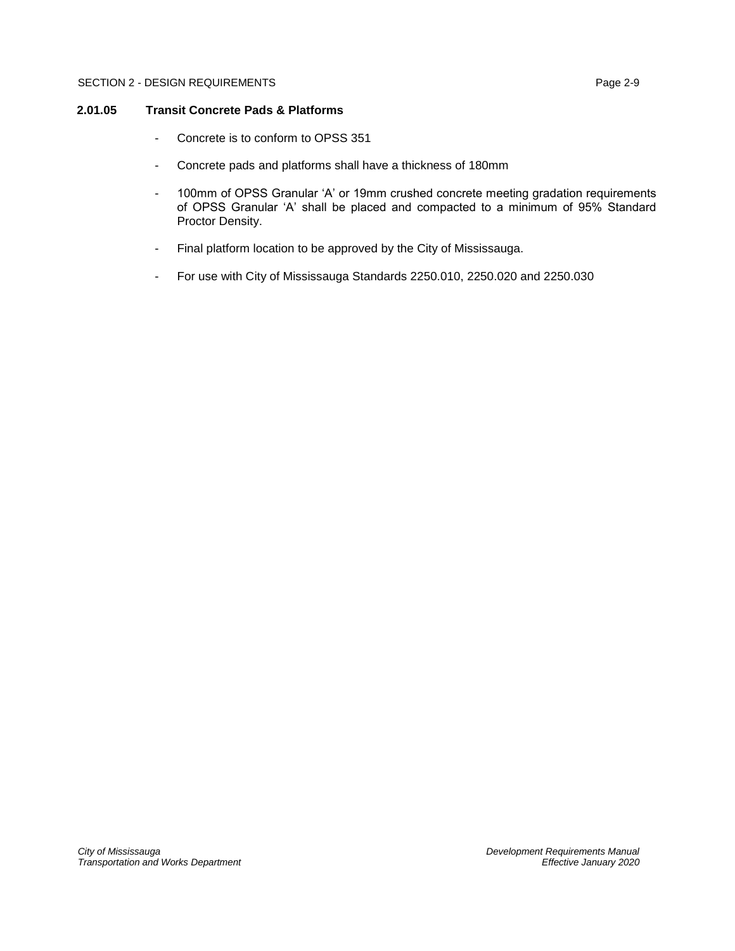# <span id="page-10-0"></span>**2.01.05 Transit Concrete Pads & Platforms**

- Concrete is to conform to OPSS 351
- Concrete pads and platforms shall have a thickness of 180mm
- 100mm of OPSS Granular 'A' or 19mm crushed concrete meeting gradation requirements of OPSS Granular 'A' shall be placed and compacted to a minimum of 95% Standard Proctor Density.
- Final platform location to be approved by the City of Mississauga.
- For use with City of Mississauga Standards 2250.010, 2250.020 and 2250.030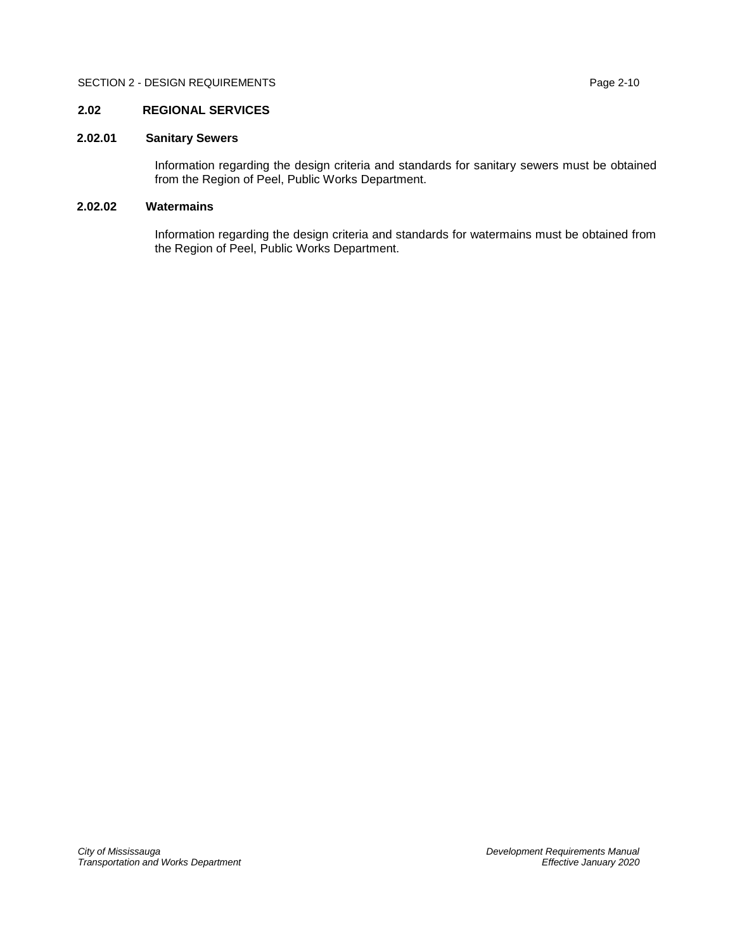# <span id="page-11-0"></span>**2.02 REGIONAL SERVICES**

# <span id="page-11-1"></span>**2.02.01 Sanitary Sewers**

Information regarding the design criteria and standards for sanitary sewers must be obtained from the Region of Peel, Public Works Department.

# <span id="page-11-2"></span>**2.02.02 Watermains**

Information regarding the design criteria and standards for watermains must be obtained from the Region of Peel, Public Works Department.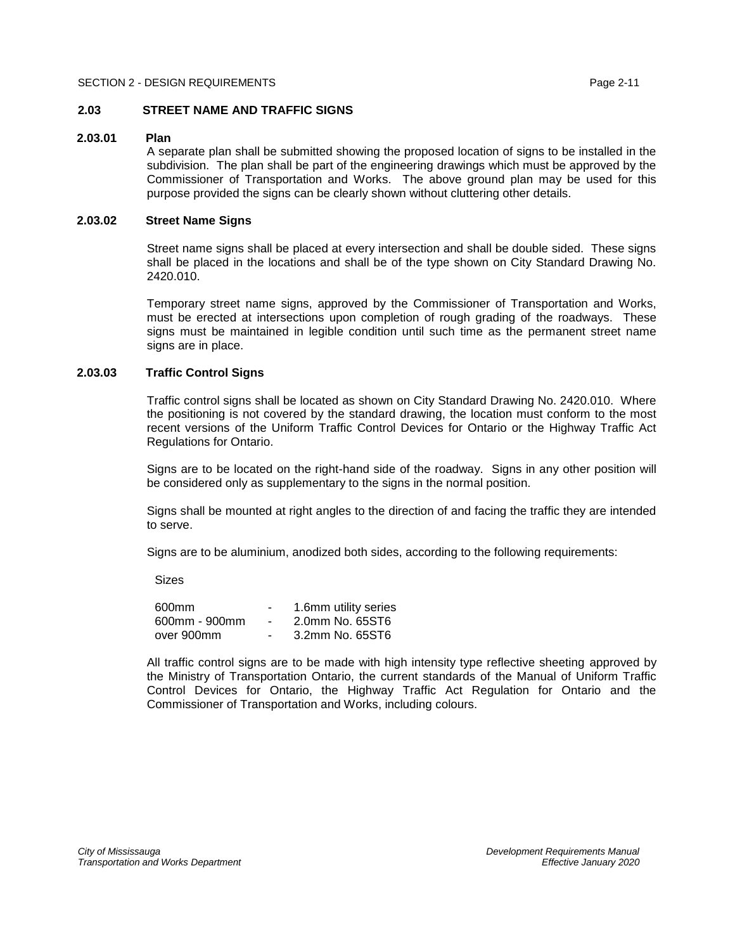# <span id="page-12-0"></span>**2.03 STREET NAME AND TRAFFIC SIGNS**

# <span id="page-12-1"></span>**2.03.01 Plan**

A separate plan shall be submitted showing the proposed location of signs to be installed in the subdivision. The plan shall be part of the engineering drawings which must be approved by the Commissioner of Transportation and Works. The above ground plan may be used for this purpose provided the signs can be clearly shown without cluttering other details.

# <span id="page-12-2"></span>**2.03.02 Street Name Signs**

Street name signs shall be placed at every intersection and shall be double sided. These signs shall be placed in the locations and shall be of the type shown on City Standard Drawing No. 2420.010.

Temporary street name signs, approved by the Commissioner of Transportation and Works, must be erected at intersections upon completion of rough grading of the roadways. These signs must be maintained in legible condition until such time as the permanent street name signs are in place.

# <span id="page-12-3"></span>**2.03.03 Traffic Control Signs**

Traffic control signs shall be located as shown on City Standard Drawing No. 2420.010. Where the positioning is not covered by the standard drawing, the location must conform to the most recent versions of the Uniform Traffic Control Devices for Ontario or the Highway Traffic Act Regulations for Ontario.

Signs are to be located on the right-hand side of the roadway. Signs in any other position will be considered only as supplementary to the signs in the normal position.

Signs shall be mounted at right angles to the direction of and facing the traffic they are intended to serve.

Signs are to be aluminium, anodized both sides, according to the following requirements:

Sizes

| 600mm         | 1.6mm utility series |
|---------------|----------------------|
| 600mm - 900mm | 2.0mm No. 65ST6      |
| over 900mm    | 3.2mm No. 65ST6      |

All traffic control signs are to be made with high intensity type reflective sheeting approved by the Ministry of Transportation Ontario, the current standards of the Manual of Uniform Traffic Control Devices for Ontario, the Highway Traffic Act Regulation for Ontario and the Commissioner of Transportation and Works, including colours.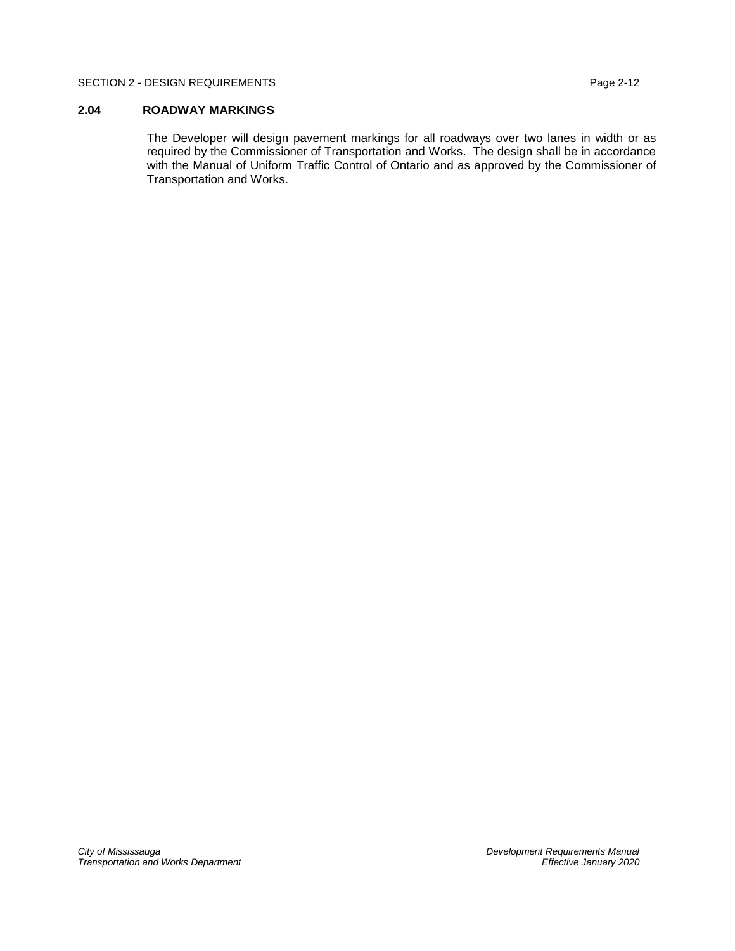### SECTION 2 - DESIGN REQUIREMENTS PAGE 2012 12

# <span id="page-13-0"></span>**2.04 ROADWAY MARKINGS**

The Developer will design pavement markings for all roadways over two lanes in width or as required by the Commissioner of Transportation and Works. The design shall be in accordance with the Manual of Uniform Traffic Control of Ontario and as approved by the Commissioner of Transportation and Works.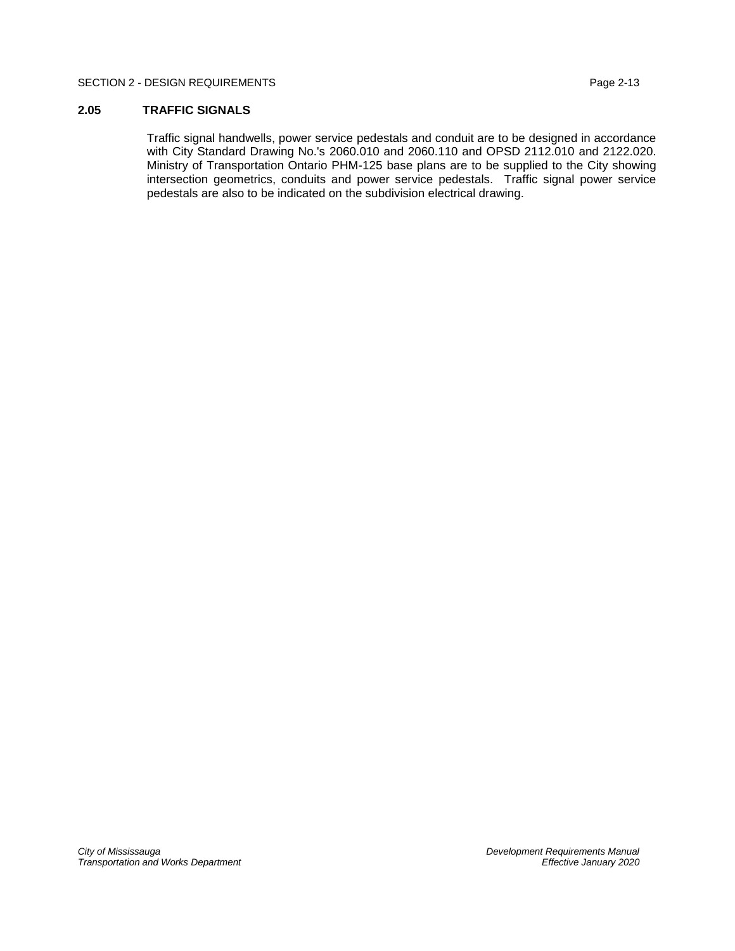## SECTION 2 - DESIGN REQUIREMENTS PAGE 2013

# <span id="page-14-0"></span>**2.05 TRAFFIC SIGNALS**

Traffic signal handwells, power service pedestals and conduit are to be designed in accordance with City Standard Drawing No.'s 2060.010 and 2060.110 and OPSD 2112.010 and 2122.020. Ministry of Transportation Ontario PHM-125 base plans are to be supplied to the City showing intersection geometrics, conduits and power service pedestals. Traffic signal power service pedestals are also to be indicated on the subdivision electrical drawing.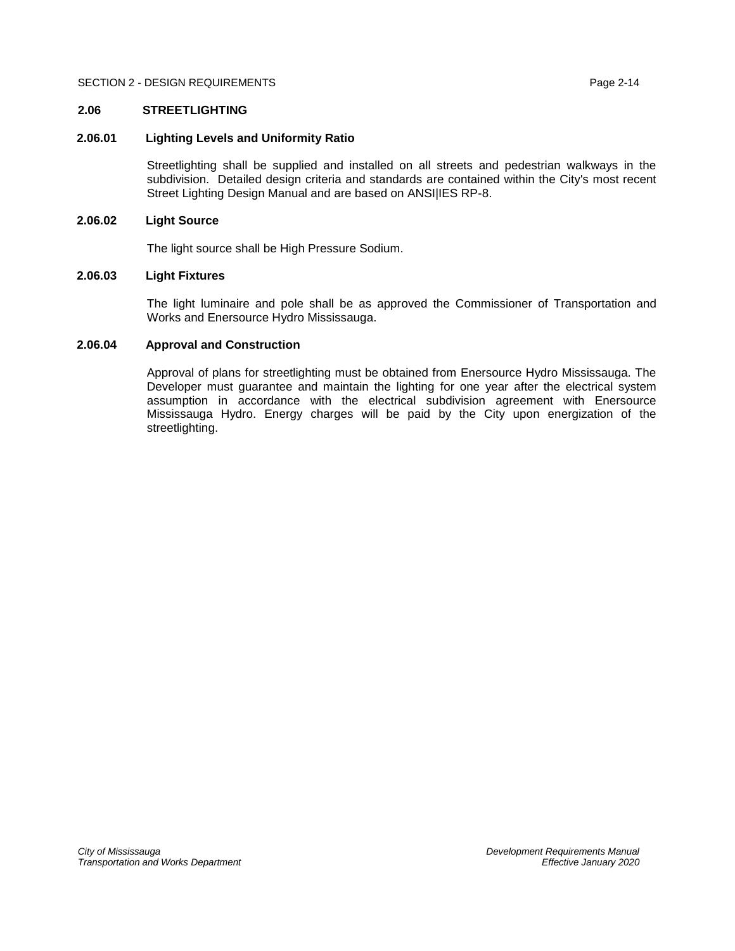# <span id="page-15-0"></span>**2.06 STREETLIGHTING**

# <span id="page-15-1"></span>**2.06.01 Lighting Levels and Uniformity Ratio**

Streetlighting shall be supplied and installed on all streets and pedestrian walkways in the subdivision. Detailed design criteria and standards are contained within the City's most recent Street Lighting Design Manual and are based on ANSI|IES RP-8.

# <span id="page-15-2"></span>**2.06.02 Light Source**

The light source shall be High Pressure Sodium.

# <span id="page-15-3"></span>**2.06.03 Light Fixtures**

The light luminaire and pole shall be as approved the Commissioner of Transportation and Works and Enersource Hydro Mississauga.

# <span id="page-15-4"></span>**2.06.04 Approval and Construction**

Approval of plans for streetlighting must be obtained from Enersource Hydro Mississauga. The Developer must guarantee and maintain the lighting for one year after the electrical system assumption in accordance with the electrical subdivision agreement with Enersource Mississauga Hydro. Energy charges will be paid by the City upon energization of the streetlighting.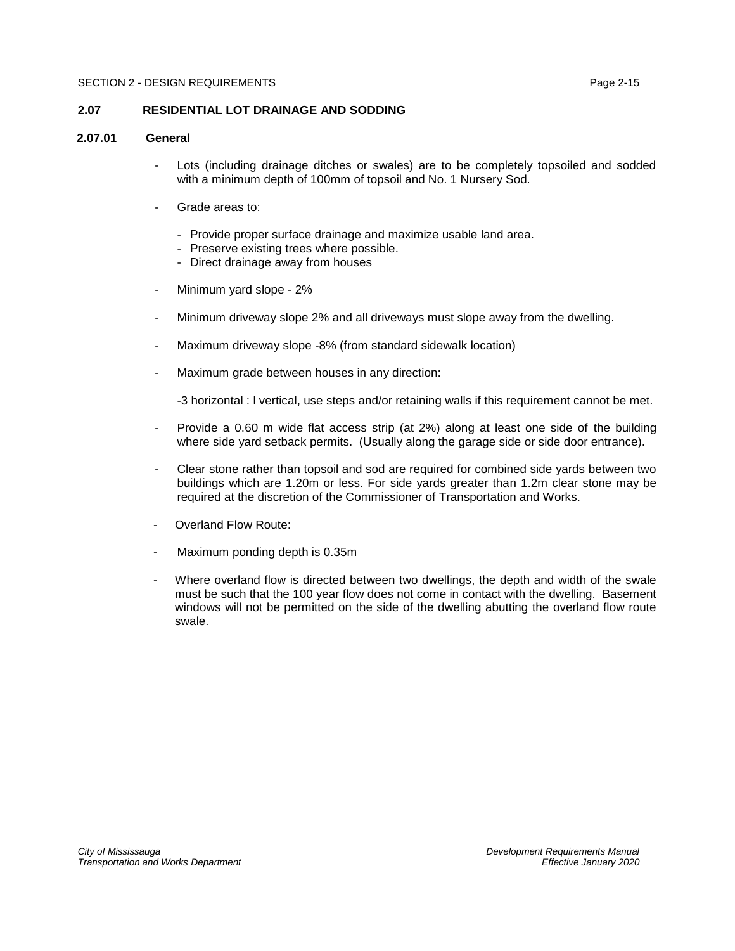# <span id="page-16-0"></span>**2.07 RESIDENTIAL LOT DRAINAGE AND SODDING**

# <span id="page-16-1"></span>**2.07.01 General**

- Lots (including drainage ditches or swales) are to be completely topsoiled and sodded with a minimum depth of 100mm of topsoil and No. 1 Nursery Sod.
- Grade areas to:
	- Provide proper surface drainage and maximize usable land area.
	- Preserve existing trees where possible.
	- Direct drainage away from houses
- Minimum yard slope 2%
- Minimum driveway slope 2% and all driveways must slope away from the dwelling.
- Maximum driveway slope -8% (from standard sidewalk location)
- Maximum grade between houses in any direction:

-3 horizontal : l vertical, use steps and/or retaining walls if this requirement cannot be met.

- Provide a 0.60 m wide flat access strip (at 2%) along at least one side of the building where side yard setback permits. (Usually along the garage side or side door entrance).
- Clear stone rather than topsoil and sod are required for combined side yards between two buildings which are 1.20m or less. For side yards greater than 1.2m clear stone may be required at the discretion of the Commissioner of Transportation and Works.
- Overland Flow Route:
- Maximum ponding depth is 0.35m
- Where overland flow is directed between two dwellings, the depth and width of the swale must be such that the 100 year flow does not come in contact with the dwelling. Basement windows will not be permitted on the side of the dwelling abutting the overland flow route swale.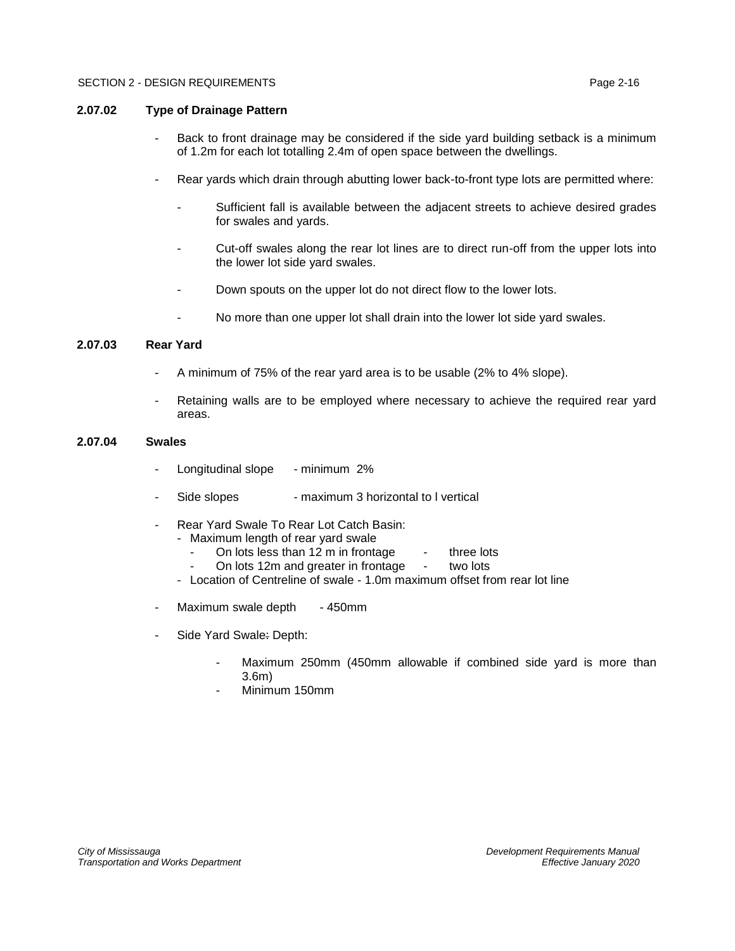# <span id="page-17-0"></span>**2.07.02 Type of Drainage Pattern**

- Back to front drainage may be considered if the side yard building setback is a minimum of 1.2m for each lot totalling 2.4m of open space between the dwellings.
- Rear yards which drain through abutting lower back-to-front type lots are permitted where:
	- Sufficient fall is available between the adjacent streets to achieve desired grades for swales and yards.
	- Cut-off swales along the rear lot lines are to direct run-off from the upper lots into the lower lot side yard swales.
	- Down spouts on the upper lot do not direct flow to the lower lots.
	- No more than one upper lot shall drain into the lower lot side yard swales.

# <span id="page-17-1"></span>**2.07.03 Rear Yard**

- A minimum of 75% of the rear yard area is to be usable (2% to 4% slope).
- Retaining walls are to be employed where necessary to achieve the required rear yard areas.

# <span id="page-17-2"></span>**2.07.04 Swales**

- Longitudinal slope minimum 2%
- Side slopes maximum 3 horizontal to I vertical
- Rear Yard Swale To Rear Lot Catch Basin:
	- Maximum length of rear yard swale
		- On lots less than 12 m in frontage  $\cdot$  three lots<br>On lots 12m and greater in frontage  $\cdot$  two lots
		- On lots 12m and greater in frontage two lots
	- Location of Centreline of swale 1.0m maximum offset from rear lot line
- Maximum swale depth 450mm
- Side Yard Swale: Depth:
	- Maximum 250mm (450mm allowable if combined side yard is more than 3.6m)
	- Minimum 150mm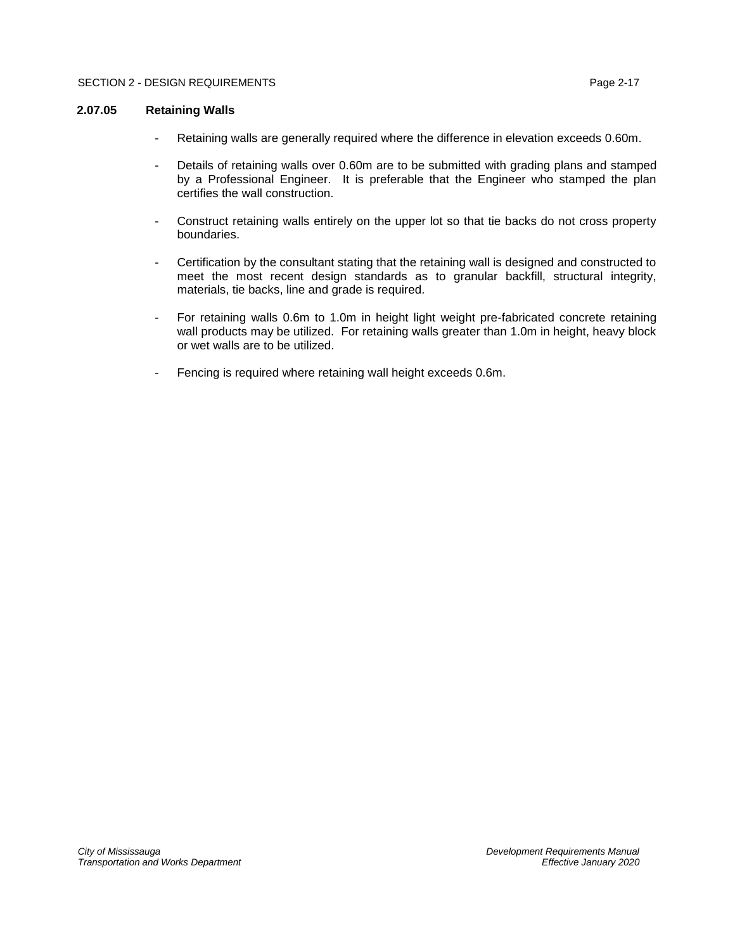# <span id="page-18-0"></span>**2.07.05 Retaining Walls**

- Retaining walls are generally required where the difference in elevation exceeds 0.60m.
- Details of retaining walls over 0.60m are to be submitted with grading plans and stamped by a Professional Engineer. It is preferable that the Engineer who stamped the plan certifies the wall construction.
- Construct retaining walls entirely on the upper lot so that tie backs do not cross property boundaries.
- Certification by the consultant stating that the retaining wall is designed and constructed to meet the most recent design standards as to granular backfill, structural integrity, materials, tie backs, line and grade is required.
- For retaining walls 0.6m to 1.0m in height light weight pre-fabricated concrete retaining wall products may be utilized. For retaining walls greater than 1.0m in height, heavy block or wet walls are to be utilized.
- Fencing is required where retaining wall height exceeds 0.6m.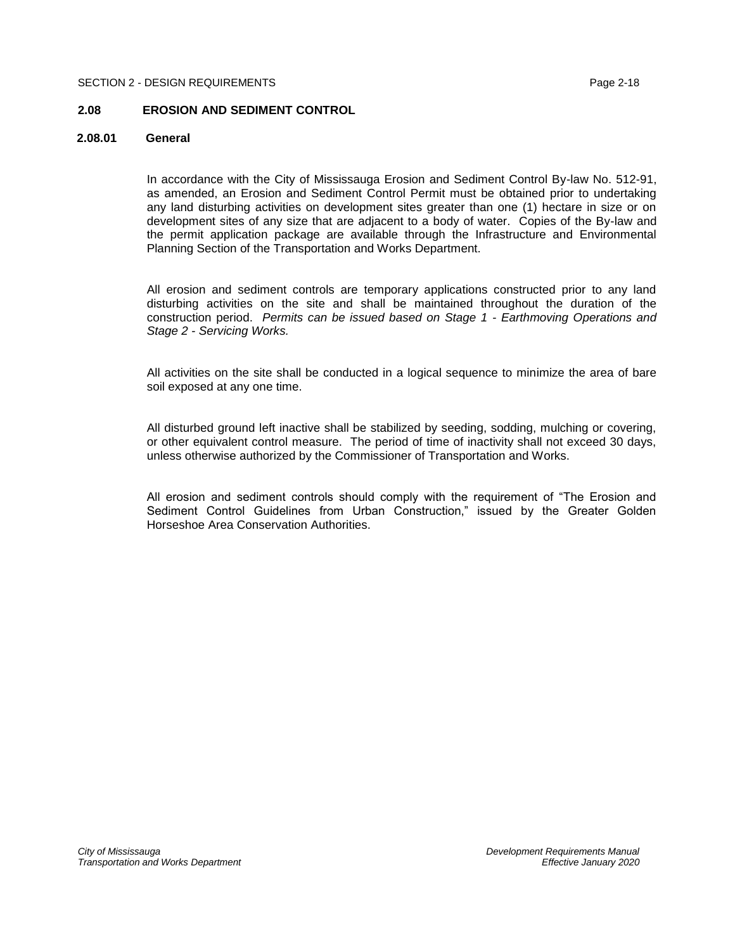#### SECTION 2 - DESIGN REQUIREMENTS AND RESIGN AT A 1999 2-18

## <span id="page-19-0"></span>**2.08 EROSION AND SEDIMENT CONTROL**

# <span id="page-19-1"></span>**2.08.01 General**

In accordance with the City of Mississauga Erosion and Sediment Control By-law No. 512-91, as amended, an Erosion and Sediment Control Permit must be obtained prior to undertaking any land disturbing activities on development sites greater than one (1) hectare in size or on development sites of any size that are adjacent to a body of water. Copies of the By-law and the permit application package are available through the Infrastructure and Environmental Planning Section of the Transportation and Works Department.

All erosion and sediment controls are temporary applications constructed prior to any land disturbing activities on the site and shall be maintained throughout the duration of the construction period. *Permits can be issued based on Stage 1 - Earthmoving Operations and Stage 2 - Servicing Works.*

All activities on the site shall be conducted in a logical sequence to minimize the area of bare soil exposed at any one time.

All disturbed ground left inactive shall be stabilized by seeding, sodding, mulching or covering, or other equivalent control measure. The period of time of inactivity shall not exceed 30 days, unless otherwise authorized by the Commissioner of Transportation and Works.

All erosion and sediment controls should comply with the requirement of "The Erosion and Sediment Control Guidelines from Urban Construction," issued by the Greater Golden Horseshoe Area Conservation Authorities.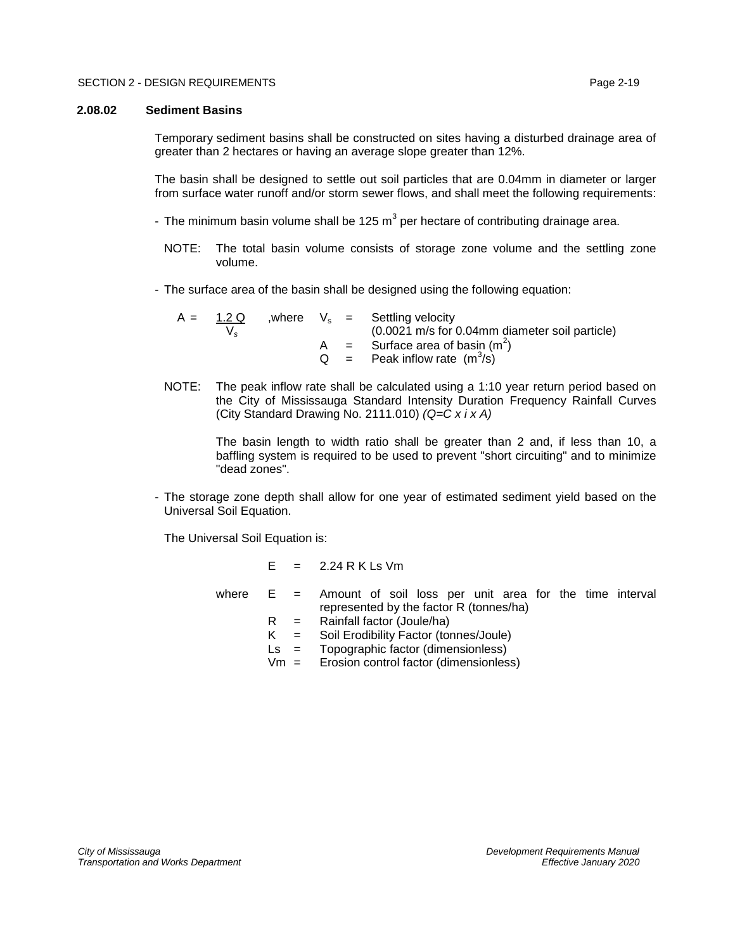#### <span id="page-20-0"></span>**2.08.02 Sediment Basins**

Temporary sediment basins shall be constructed on sites having a disturbed drainage area of greater than 2 hectares or having an average slope greater than 12%.

The basin shall be designed to settle out soil particles that are 0.04mm in diameter or larger from surface water runoff and/or storm sewer flows, and shall meet the following requirements:

- The minimum basin volume shall be 125 m<sup>3</sup> per hectare of contributing drainage area.
	- NOTE: The total basin volume consists of storage zone volume and the settling zone volume.
- The surface area of the basin shall be designed using the following equation:

A =  $\frac{1.2 \text{ Q}}{\text{V}_s}$  , where  $\text{V}_s$  = Settling velocity<br>(0.0021 m/s for ( V*<sup>s</sup>* (0.0021 m/s for 0.04mm diameter soil particle) A = Surface area of basin  $(m^2)$  $Q =$  Peak inflow rate  $(m^3/s)$ 

NOTE: The peak inflow rate shall be calculated using a 1:10 year return period based on the City of Mississauga Standard Intensity Duration Frequency Rainfall Curves (City Standard Drawing No. 2111.010) *(Q=C x i x A)*

> The basin length to width ratio shall be greater than 2 and, if less than 10, a baffling system is required to be used to prevent "short circuiting" and to minimize "dead zones".

- The storage zone depth shall allow for one year of estimated sediment yield based on the Universal Soil Equation.

The Universal Soil Equation is:

 $E = 2.24$  R K Ls Vm

- where  $E =$  Amount of soil loss per unit area for the time interval represented by the factor R (tonnes/ha)
	- $R =$  Rainfall factor (Joule/ha)
	- K = Soil Erodibility Factor (tonnes/Joule)
	- Ls = Topographic factor (dimensionless)
	- Vm = Erosion control factor (dimensionless)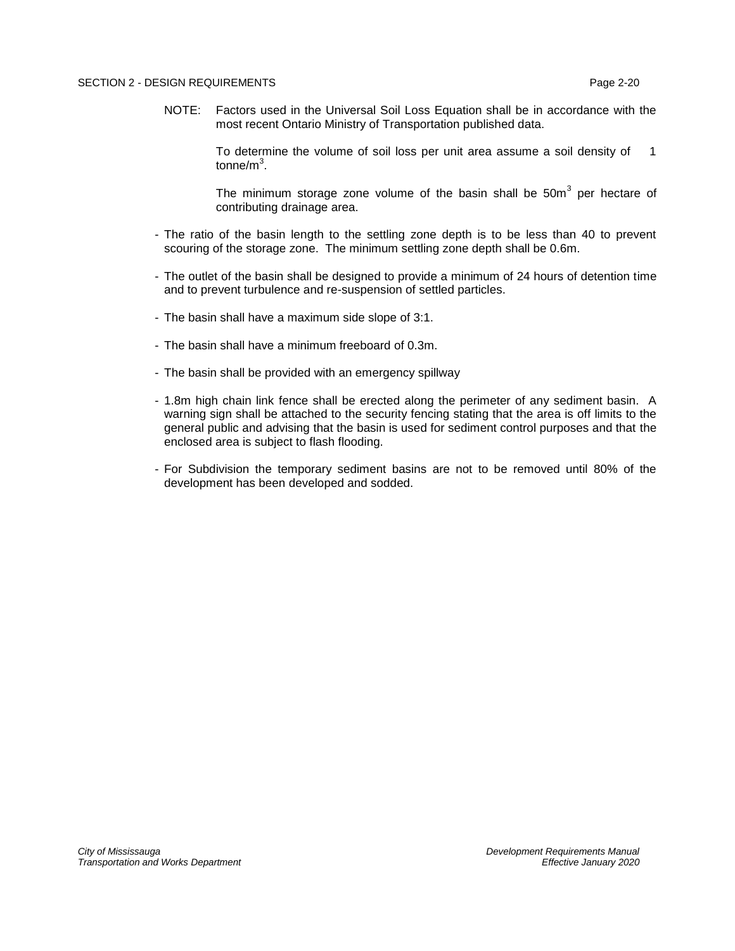NOTE: Factors used in the Universal Soil Loss Equation shall be in accordance with the most recent Ontario Ministry of Transportation published data.

> To determine the volume of soil loss per unit area assume a soil density of 1 tonne/m $^3$ .

> The minimum storage zone volume of the basin shall be  $50m<sup>3</sup>$  per hectare of contributing drainage area.

- The ratio of the basin length to the settling zone depth is to be less than 40 to prevent scouring of the storage zone. The minimum settling zone depth shall be 0.6m.
- The outlet of the basin shall be designed to provide a minimum of 24 hours of detention time and to prevent turbulence and re-suspension of settled particles.
- The basin shall have a maximum side slope of 3:1.
- The basin shall have a minimum freeboard of 0.3m.
- The basin shall be provided with an emergency spillway
- 1.8m high chain link fence shall be erected along the perimeter of any sediment basin. A warning sign shall be attached to the security fencing stating that the area is off limits to the general public and advising that the basin is used for sediment control purposes and that the enclosed area is subject to flash flooding.
- For Subdivision the temporary sediment basins are not to be removed until 80% of the development has been developed and sodded.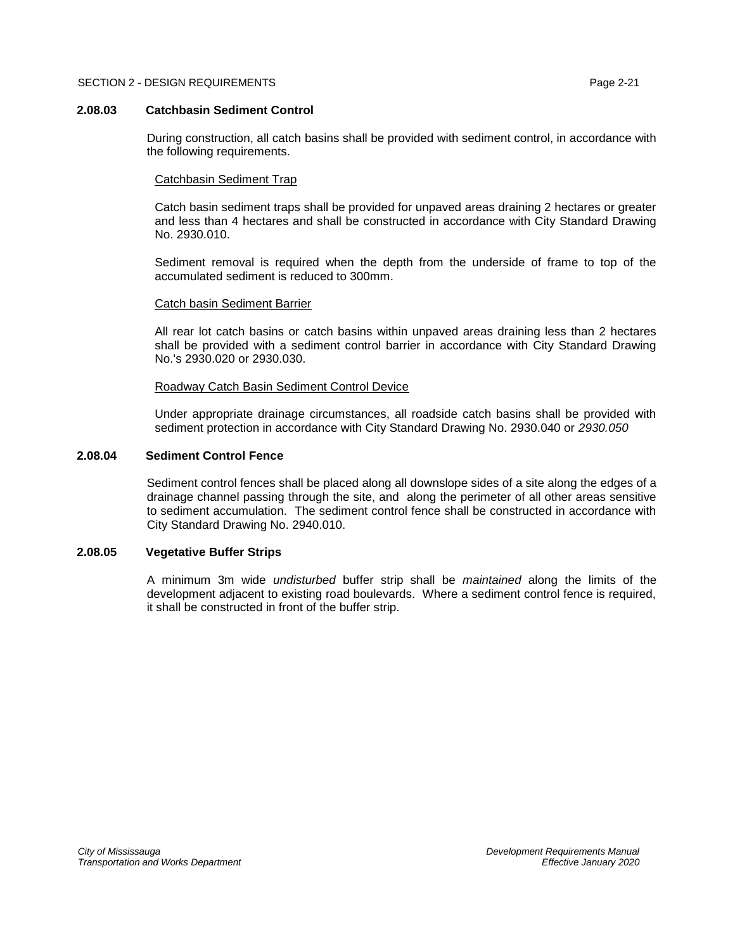# <span id="page-22-0"></span>**2.08.03 Catchbasin Sediment Control**

During construction, all catch basins shall be provided with sediment control, in accordance with the following requirements.

# Catchbasin Sediment Trap

Catch basin sediment traps shall be provided for unpaved areas draining 2 hectares or greater and less than 4 hectares and shall be constructed in accordance with City Standard Drawing No. 2930.010.

Sediment removal is required when the depth from the underside of frame to top of the accumulated sediment is reduced to 300mm.

# Catch basin Sediment Barrier

All rear lot catch basins or catch basins within unpaved areas draining less than 2 hectares shall be provided with a sediment control barrier in accordance with City Standard Drawing No.'s 2930.020 or 2930.030.

# Roadway Catch Basin Sediment Control Device

Under appropriate drainage circumstances, all roadside catch basins shall be provided with sediment protection in accordance with City Standard Drawing No. 2930.040 or *2930.050*

# <span id="page-22-1"></span>**2.08.04 Sediment Control Fence**

Sediment control fences shall be placed along all downslope sides of a site along the edges of a drainage channel passing through the site, and along the perimeter of all other areas sensitive to sediment accumulation. The sediment control fence shall be constructed in accordance with City Standard Drawing No. 2940.010.

# <span id="page-22-2"></span>**2.08.05 Vegetative Buffer Strips**

A minimum 3m wide *undisturbed* buffer strip shall be *maintained* along the limits of the development adjacent to existing road boulevards. Where a sediment control fence is required, it shall be constructed in front of the buffer strip.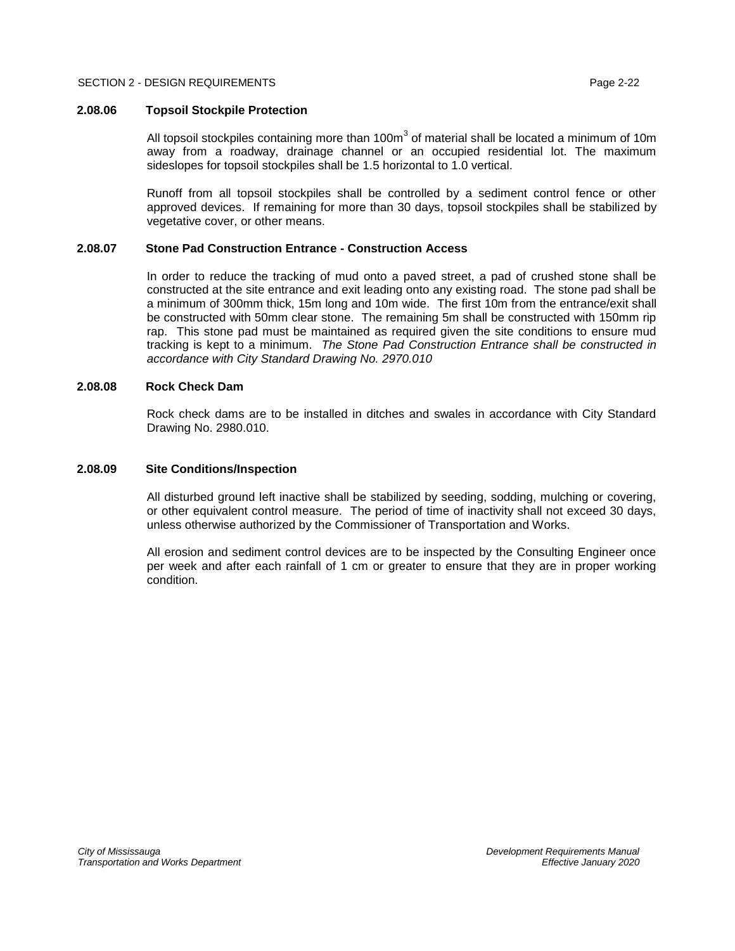# <span id="page-23-0"></span>**2.08.06 Topsoil Stockpile Protection**

All topsoil stockpiles containing more than 100m<sup>3</sup> of material shall be located a minimum of 10m away from a roadway, drainage channel or an occupied residential lot. The maximum sideslopes for topsoil stockpiles shall be 1.5 horizontal to 1.0 vertical.

Runoff from all topsoil stockpiles shall be controlled by a sediment control fence or other approved devices. If remaining for more than 30 days, topsoil stockpiles shall be stabilized by vegetative cover, or other means.

# <span id="page-23-1"></span>**2.08.07 Stone Pad Construction Entrance - Construction Access**

In order to reduce the tracking of mud onto a paved street, a pad of crushed stone shall be constructed at the site entrance and exit leading onto any existing road. The stone pad shall be a minimum of 300mm thick, 15m long and 10m wide. The first 10m from the entrance/exit shall be constructed with 50mm clear stone. The remaining 5m shall be constructed with 150mm rip rap. This stone pad must be maintained as required given the site conditions to ensure mud tracking is kept to a minimum. *The Stone Pad Construction Entrance shall be constructed in accordance with City Standard Drawing No. 2970.010*

# <span id="page-23-2"></span>**2.08.08 Rock Check Dam**

Rock check dams are to be installed in ditches and swales in accordance with City Standard Drawing No. 2980.010.

## <span id="page-23-3"></span>**2.08.09 Site Conditions/Inspection**

All disturbed ground left inactive shall be stabilized by seeding, sodding, mulching or covering, or other equivalent control measure. The period of time of inactivity shall not exceed 30 days, unless otherwise authorized by the Commissioner of Transportation and Works.

All erosion and sediment control devices are to be inspected by the Consulting Engineer once per week and after each rainfall of 1 cm or greater to ensure that they are in proper working condition.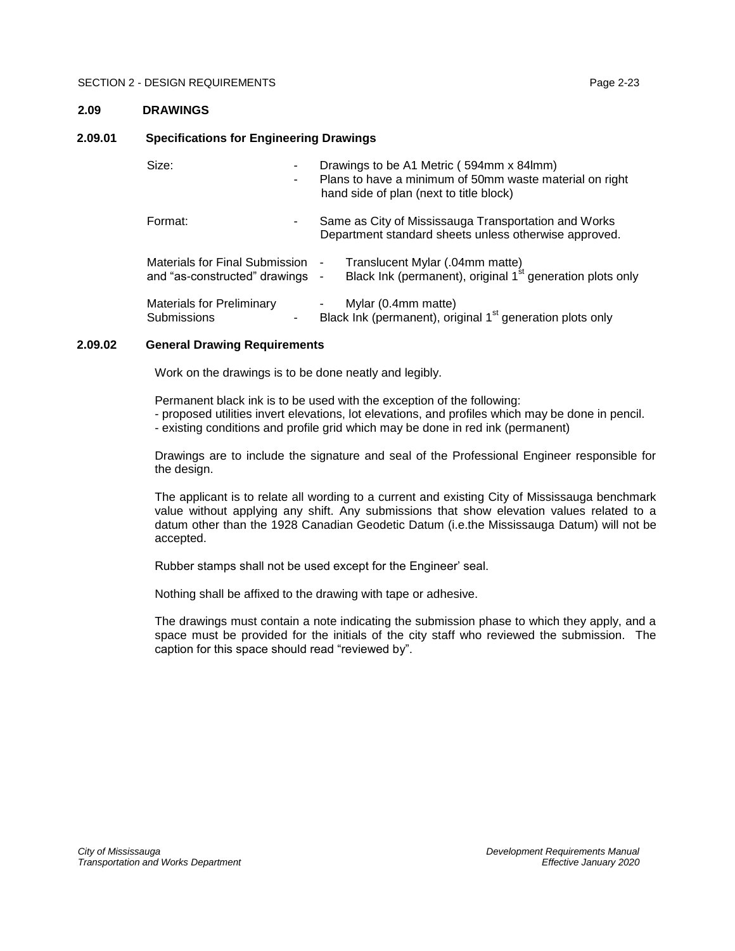# <span id="page-24-0"></span>**2.09 DRAWINGS**

# <span id="page-24-1"></span>**2.09.01 Specifications for Engineering Drawings**

| Size:<br>۰                                                      | Drawings to be A1 Metric (594mm x 84lmm)<br>Plans to have a minimum of 50mm waste material on right<br>hand side of plan (next to title block) |
|-----------------------------------------------------------------|------------------------------------------------------------------------------------------------------------------------------------------------|
| Format:                                                         | Same as City of Mississauga Transportation and Works<br>Department standard sheets unless otherwise approved.                                  |
| Materials for Final Submission<br>and "as-constructed" drawings | Translucent Mylar (.04mm matte)<br>۰<br>Black Ink (permanent), original 1 <sup>st</sup> generation plots only<br>$\overline{\phantom{a}}$      |
| <b>Materials for Preliminary</b><br><b>Submissions</b>          | Mylar (0.4mm matte)<br>Black Ink (permanent), original 1 <sup>st</sup> generation plots only                                                   |

# <span id="page-24-2"></span>**2.09.02 General Drawing Requirements**

Work on the drawings is to be done neatly and legibly.

Permanent black ink is to be used with the exception of the following: - proposed utilities invert elevations, lot elevations, and profiles which may be done in pencil.

- existing conditions and profile grid which may be done in red ink (permanent)

Drawings are to include the signature and seal of the Professional Engineer responsible for the design.

The applicant is to relate all wording to a current and existing City of Mississauga benchmark value without applying any shift. Any submissions that show elevation values related to a datum other than the 1928 Canadian Geodetic Datum (i.e.the Mississauga Datum) will not be accepted.

Rubber stamps shall not be used except for the Engineer' seal.

Nothing shall be affixed to the drawing with tape or adhesive.

The drawings must contain a note indicating the submission phase to which they apply, and a space must be provided for the initials of the city staff who reviewed the submission. The caption for this space should read "reviewed by".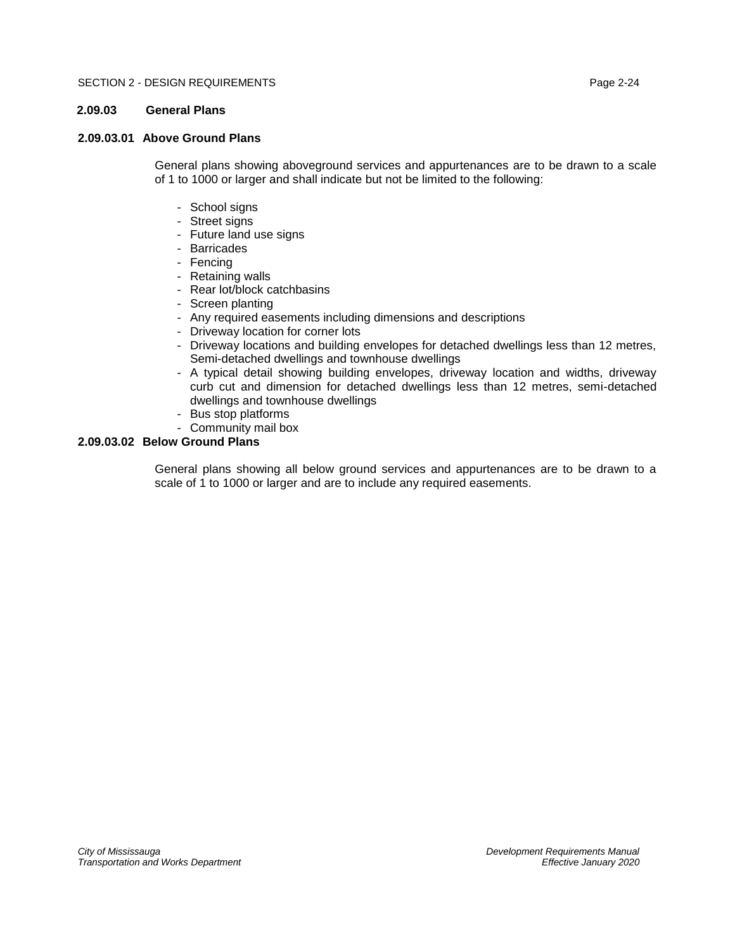# <span id="page-25-0"></span>**2.09.03 General Plans**

# <span id="page-25-1"></span>**2.09.03.01 Above Ground Plans**

General plans showing aboveground services and appurtenances are to be drawn to a scale of 1 to 1000 or larger and shall indicate but not be limited to the following:

- School signs
- Street signs
- Future land use signs
- Barricades
- Fencing
- Retaining walls
- Rear lot/block catchbasins
- Screen planting
- Any required easements including dimensions and descriptions
- Driveway location for corner lots
- Driveway locations and building envelopes for detached dwellings less than 12 metres, Semi-detached dwellings and townhouse dwellings
- A typical detail showing building envelopes, driveway location and widths, driveway curb cut and dimension for detached dwellings less than 12 metres, semi-detached dwellings and townhouse dwellings
- Bus stop platforms
- Community mail box

# <span id="page-25-2"></span>**2.09.03.02 Below Ground Plans**

General plans showing all below ground services and appurtenances are to be drawn to a scale of 1 to 1000 or larger and are to include any required easements.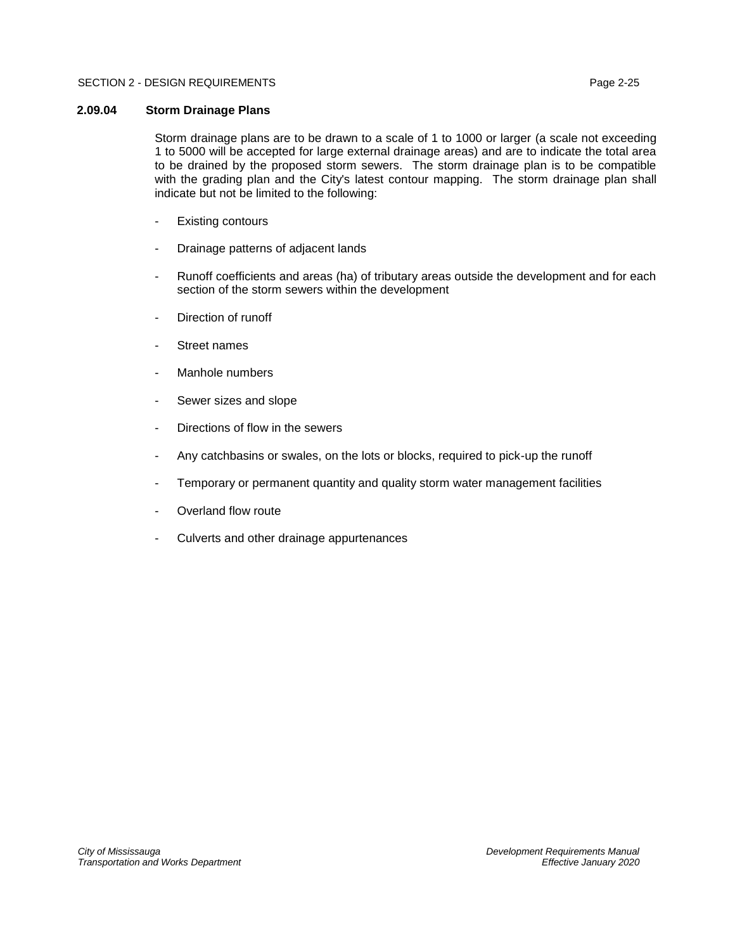# <span id="page-26-0"></span>**2.09.04 Storm Drainage Plans**

Storm drainage plans are to be drawn to a scale of 1 to 1000 or larger (a scale not exceeding 1 to 5000 will be accepted for large external drainage areas) and are to indicate the total area to be drained by the proposed storm sewers. The storm drainage plan is to be compatible with the grading plan and the City's latest contour mapping. The storm drainage plan shall indicate but not be limited to the following:

- Existing contours
- Drainage patterns of adjacent lands
- Runoff coefficients and areas (ha) of tributary areas outside the development and for each section of the storm sewers within the development
- Direction of runoff
- Street names
- Manhole numbers
- Sewer sizes and slope
- Directions of flow in the sewers
- Any catchbasins or swales, on the lots or blocks, required to pick-up the runoff
- Temporary or permanent quantity and quality storm water management facilities
- Overland flow route
- Culverts and other drainage appurtenances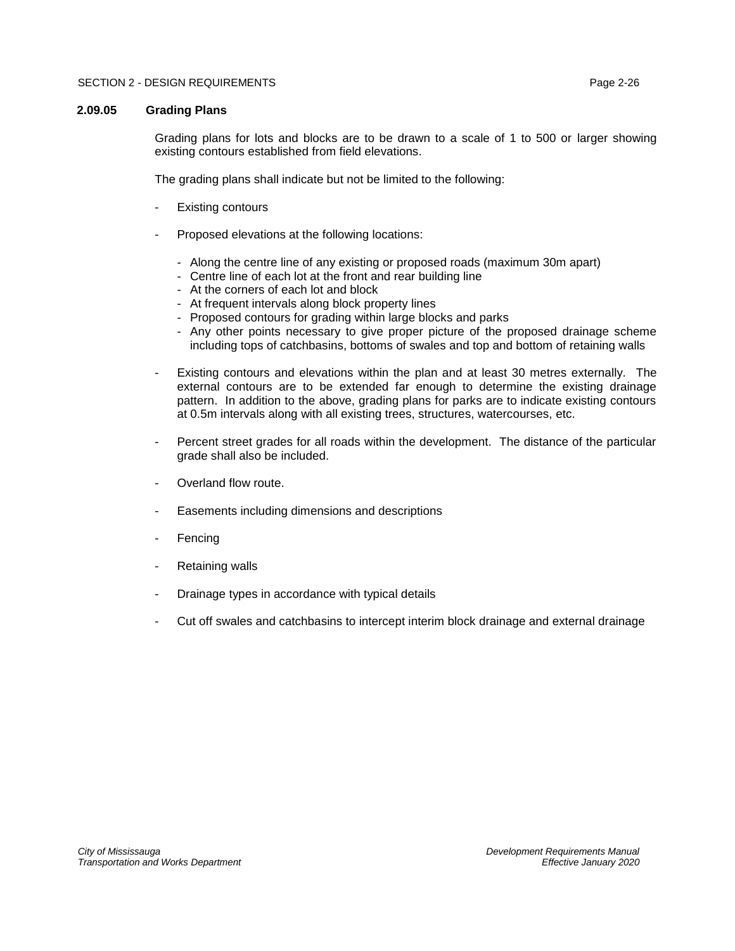#### <span id="page-27-0"></span>**2.09.05 Grading Plans**

Grading plans for lots and blocks are to be drawn to a scale of 1 to 500 or larger showing existing contours established from field elevations.

The grading plans shall indicate but not be limited to the following:

- **Existing contours**
- Proposed elevations at the following locations:
	- Along the centre line of any existing or proposed roads (maximum 30m apart)
	- Centre line of each lot at the front and rear building line
	- At the corners of each lot and block
	- At frequent intervals along block property lines
	- Proposed contours for grading within large blocks and parks
	- Any other points necessary to give proper picture of the proposed drainage scheme including tops of catchbasins, bottoms of swales and top and bottom of retaining walls
- Existing contours and elevations within the plan and at least 30 metres externally. The external contours are to be extended far enough to determine the existing drainage pattern. In addition to the above, grading plans for parks are to indicate existing contours at 0.5m intervals along with all existing trees, structures, watercourses, etc.
- Percent street grades for all roads within the development. The distance of the particular grade shall also be included.
- Overland flow route.
- Easements including dimensions and descriptions
- **Fencing**
- Retaining walls
- Drainage types in accordance with typical details
- Cut off swales and catchbasins to intercept interim block drainage and external drainage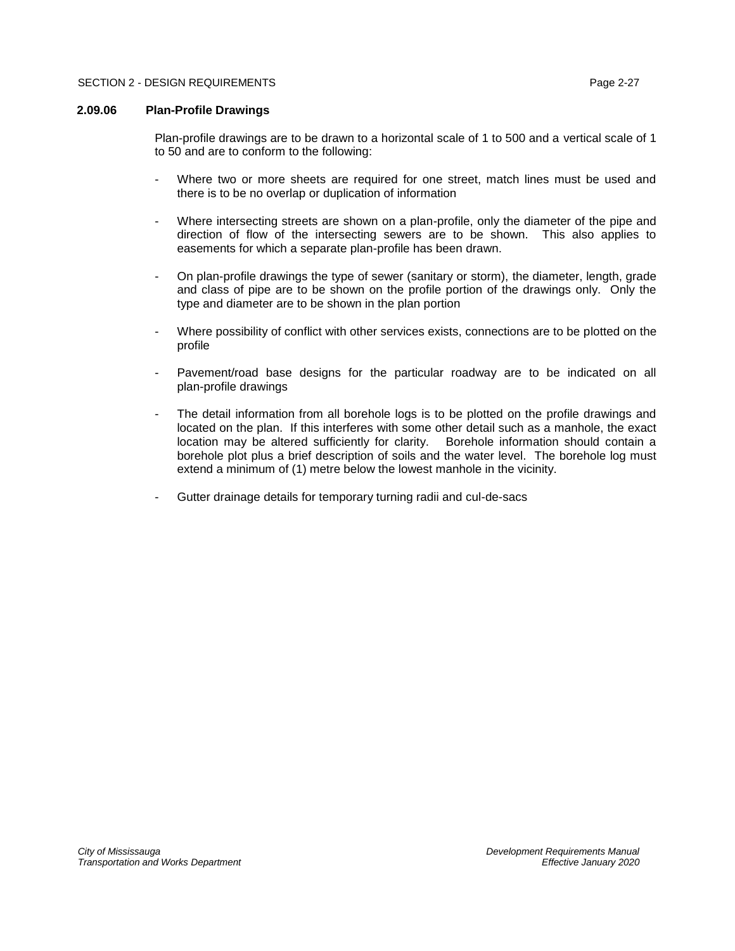# <span id="page-28-0"></span>**2.09.06 Plan-Profile Drawings**

Plan-profile drawings are to be drawn to a horizontal scale of 1 to 500 and a vertical scale of 1 to 50 and are to conform to the following:

- Where two or more sheets are required for one street, match lines must be used and there is to be no overlap or duplication of information
- Where intersecting streets are shown on a plan-profile, only the diameter of the pipe and direction of flow of the intersecting sewers are to be shown. This also applies to easements for which a separate plan-profile has been drawn.
- On plan-profile drawings the type of sewer (sanitary or storm), the diameter, length, grade and class of pipe are to be shown on the profile portion of the drawings only. Only the type and diameter are to be shown in the plan portion
- Where possibility of conflict with other services exists, connections are to be plotted on the profile
- Pavement/road base designs for the particular roadway are to be indicated on all plan-profile drawings
- The detail information from all borehole logs is to be plotted on the profile drawings and located on the plan. If this interferes with some other detail such as a manhole, the exact location may be altered sufficiently for clarity. Borehole information should contain a borehole plot plus a brief description of soils and the water level. The borehole log must extend a minimum of (1) metre below the lowest manhole in the vicinity.
- Gutter drainage details for temporary turning radii and cul-de-sacs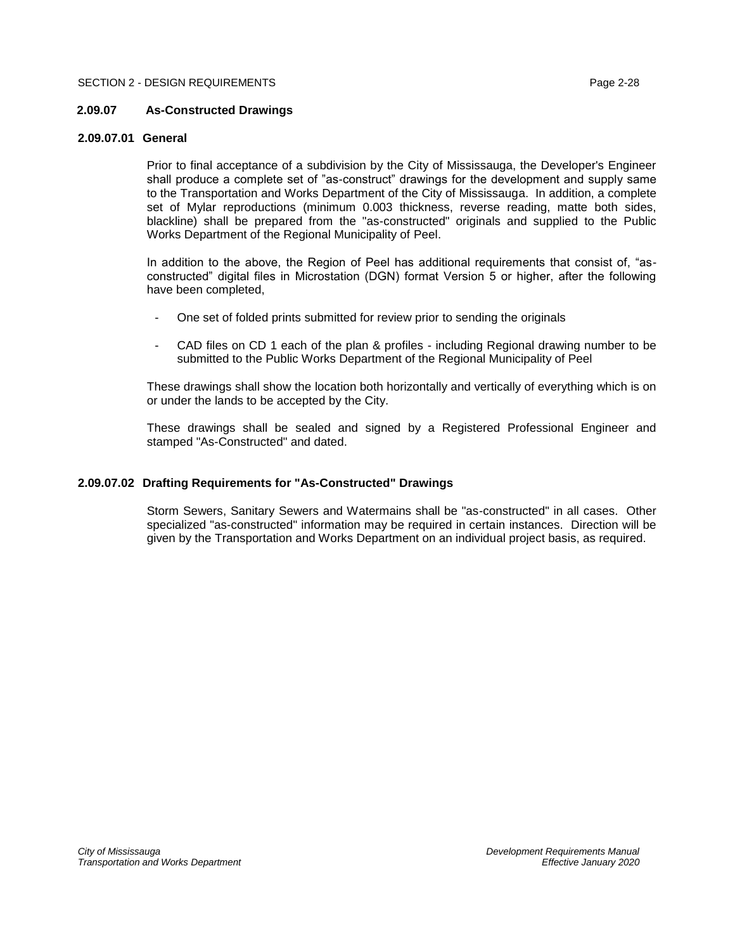# <span id="page-29-0"></span>**2.09.07 As-Constructed Drawings**

# <span id="page-29-1"></span>**2.09.07.01 General**

Prior to final acceptance of a subdivision by the City of Mississauga, the Developer's Engineer shall produce a complete set of "as-construct" drawings for the development and supply same to the Transportation and Works Department of the City of Mississauga. In addition, a complete set of Mylar reproductions (minimum 0.003 thickness, reverse reading, matte both sides, blackline) shall be prepared from the "as-constructed" originals and supplied to the Public Works Department of the Regional Municipality of Peel.

In addition to the above, the Region of Peel has additional requirements that consist of, "asconstructed" digital files in Microstation (DGN) format Version 5 or higher, after the following have been completed,

- One set of folded prints submitted for review prior to sending the originals
- CAD files on CD 1 each of the plan & profiles including Regional drawing number to be submitted to the Public Works Department of the Regional Municipality of Peel

These drawings shall show the location both horizontally and vertically of everything which is on or under the lands to be accepted by the City.

These drawings shall be sealed and signed by a Registered Professional Engineer and stamped "As-Constructed" and dated.

# <span id="page-29-2"></span>**2.09.07.02 Drafting Requirements for "As-Constructed" Drawings**

Storm Sewers, Sanitary Sewers and Watermains shall be "as-constructed" in all cases. Other specialized "as-constructed" information may be required in certain instances. Direction will be given by the Transportation and Works Department on an individual project basis, as required.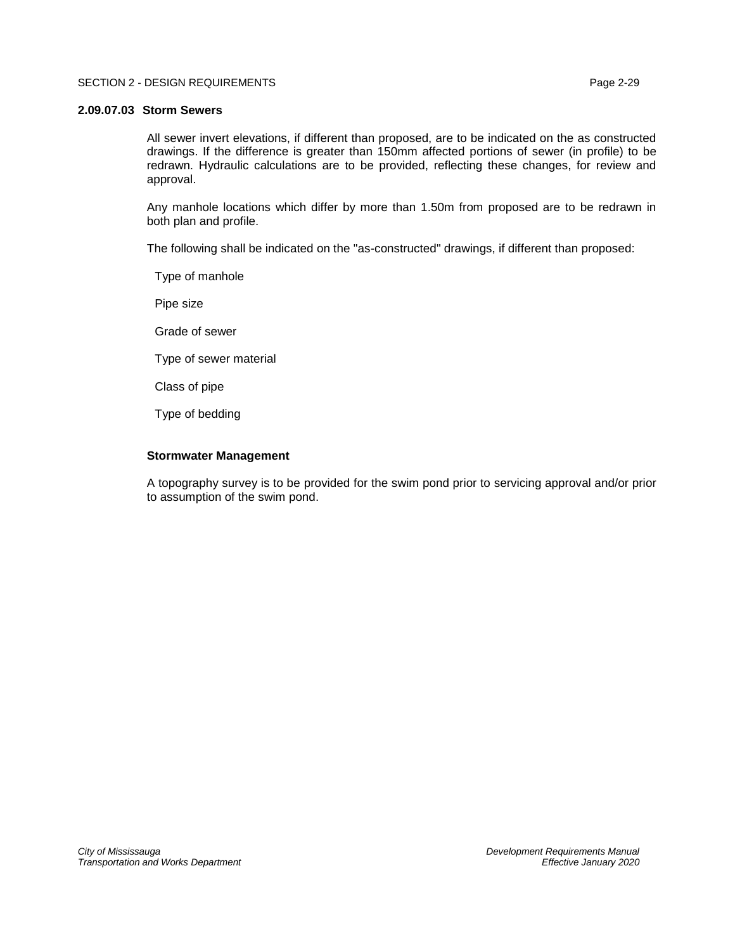### <span id="page-30-0"></span>**2.09.07.03 Storm Sewers**

All sewer invert elevations, if different than proposed, are to be indicated on the as constructed drawings. If the difference is greater than 150mm affected portions of sewer (in profile) to be redrawn. Hydraulic calculations are to be provided, reflecting these changes, for review and approval.

Any manhole locations which differ by more than 1.50m from proposed are to be redrawn in both plan and profile.

The following shall be indicated on the "as-constructed" drawings, if different than proposed:

Type of manhole

Pipe size

Grade of sewer

Type of sewer material

Class of pipe

Type of bedding

# **Stormwater Management**

A topography survey is to be provided for the swim pond prior to servicing approval and/or prior to assumption of the swim pond.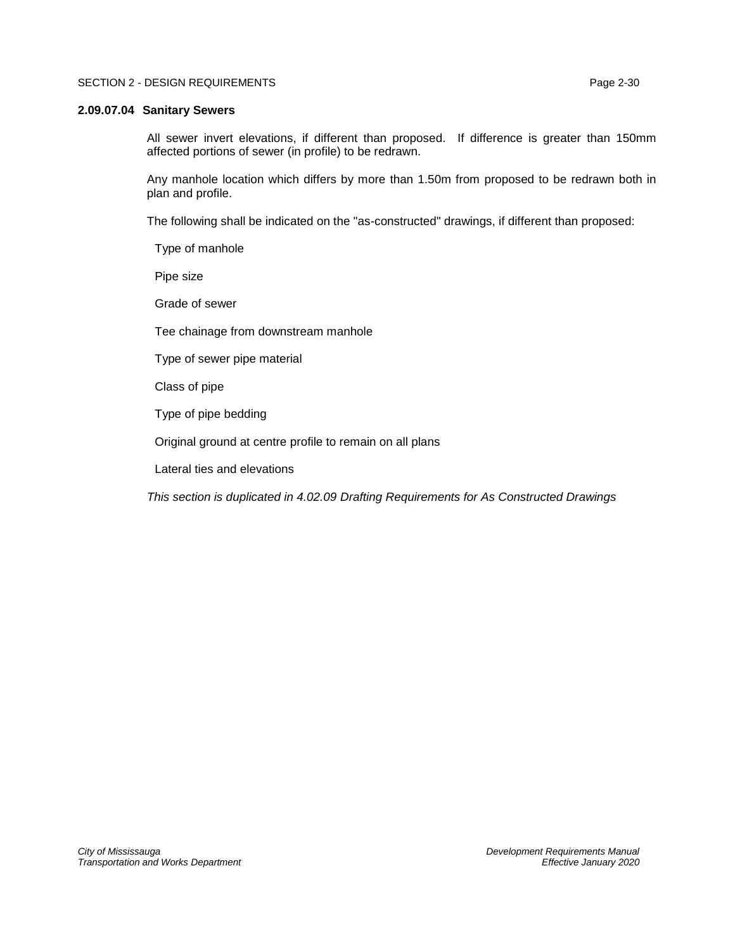#### <span id="page-31-0"></span>**2.09.07.04 Sanitary Sewers**

All sewer invert elevations, if different than proposed. If difference is greater than 150mm affected portions of sewer (in profile) to be redrawn.

Any manhole location which differs by more than 1.50m from proposed to be redrawn both in plan and profile.

The following shall be indicated on the "as-constructed" drawings, if different than proposed:

Type of manhole

Pipe size

Grade of sewer

Tee chainage from downstream manhole

Type of sewer pipe material

Class of pipe

Type of pipe bedding

Original ground at centre profile to remain on all plans

Lateral ties and elevations

*This section is duplicated in 4.02.09 Drafting Requirements for As Constructed Drawings*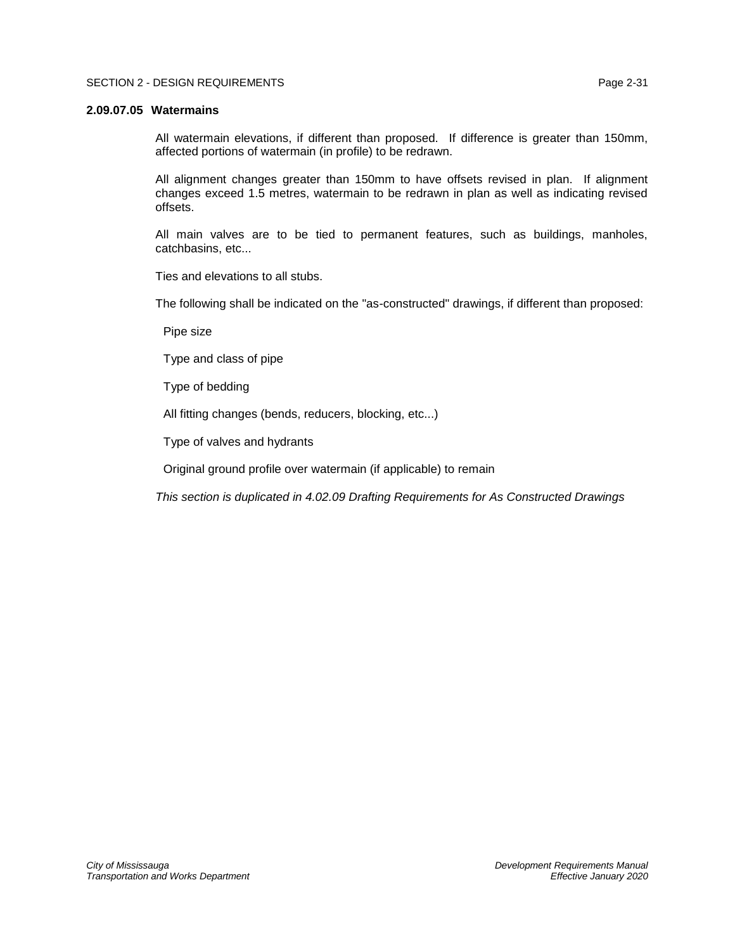#### <span id="page-32-0"></span>**2.09.07.05 Watermains**

All watermain elevations, if different than proposed. If difference is greater than 150mm, affected portions of watermain (in profile) to be redrawn.

All alignment changes greater than 150mm to have offsets revised in plan. If alignment changes exceed 1.5 metres, watermain to be redrawn in plan as well as indicating revised offsets.

All main valves are to be tied to permanent features, such as buildings, manholes, catchbasins, etc...

Ties and elevations to all stubs.

The following shall be indicated on the "as-constructed" drawings, if different than proposed:

Pipe size

Type and class of pipe

Type of bedding

All fitting changes (bends, reducers, blocking, etc...)

Type of valves and hydrants

Original ground profile over watermain (if applicable) to remain

*This section is duplicated in 4.02.09 Drafting Requirements for As Constructed Drawings*